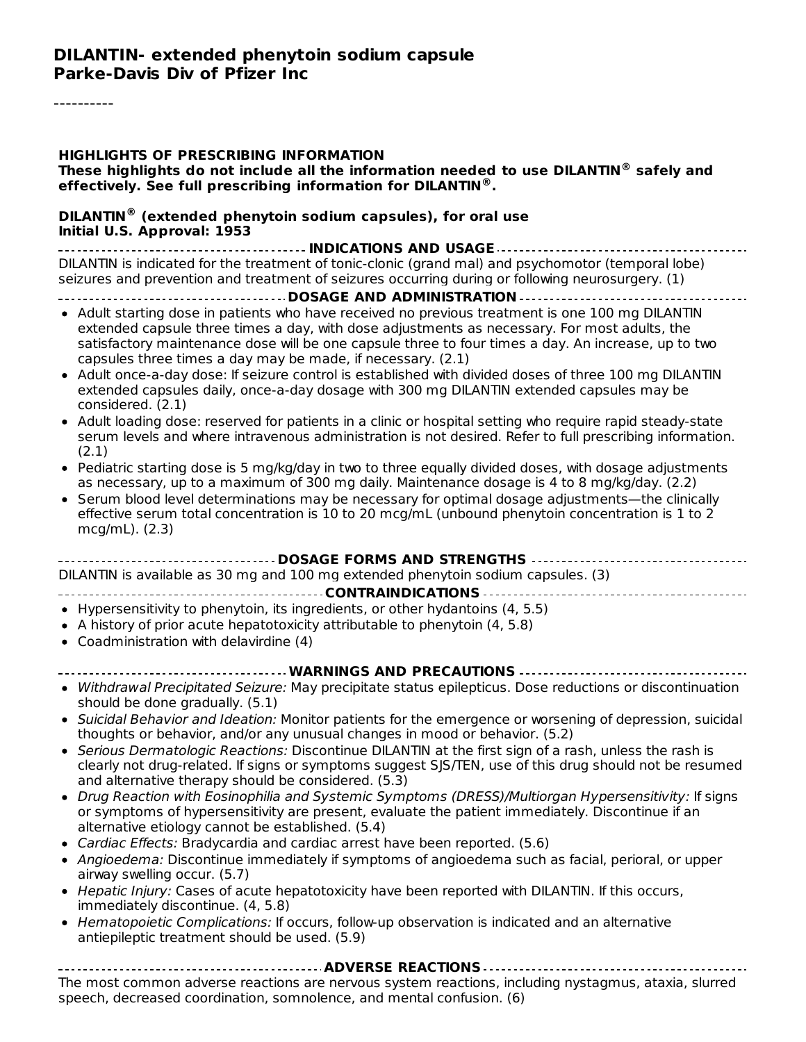#### **DILANTIN- extended phenytoin sodium capsule Parke-Davis Div of Pfizer Inc**

#### **HIGHLIGHTS OF PRESCRIBING INFORMATION**

**These highlights do not include all the information needed to use DILANTIN safely and ® effectively. See full prescribing information for DILANTIN . ®**

#### **DILANTIN (extended phenytoin sodium capsules), for oral use ®Initial U.S. Approval: 1953**

**INDICATIONS AND USAGE** DILANTIN is indicated for the treatment of tonic-clonic (grand mal) and psychomotor (temporal lobe) seizures and prevention and treatment of seizures occurring during or following neurosurgery. (1)

#### **DOSAGE AND ADMINISTRATION**

- Adult starting dose in patients who have received no previous treatment is one 100 mg DILANTIN extended capsule three times a day, with dose adjustments as necessary. For most adults, the satisfactory maintenance dose will be one capsule three to four times a day. An increase, up to two capsules three times a day may be made, if necessary. (2.1)
- Adult once-a-day dose: If seizure control is established with divided doses of three 100 mg DILANTIN extended capsules daily, once-a-day dosage with 300 mg DILANTIN extended capsules may be considered. (2.1)
- Adult loading dose: reserved for patients in a clinic or hospital setting who require rapid steady-state serum levels and where intravenous administration is not desired. Refer to full prescribing information. (2.1)
- Pediatric starting dose is 5 mg/kg/day in two to three equally divided doses, with dosage adjustments as necessary, up to a maximum of 300 mg daily. Maintenance dosage is 4 to 8 mg/kg/day. (2.2)
- Serum blood level determinations may be necessary for optimal dosage adjustments—the clinically effective serum total concentration is 10 to 20 mcg/mL (unbound phenytoin concentration is 1 to 2 mcg/mL). (2.3)

| DILANTIN is available as 30 mg and 100 mg extended phenytoin sodium capsules. (3) |  |  |  |  |  |
|-----------------------------------------------------------------------------------|--|--|--|--|--|
|                                                                                   |  |  |  |  |  |
|                                                                                   |  |  |  |  |  |

- $\bullet$  Hypersensitivity to phenytoin, its ingredients, or other hydantoins (4, 5.5)
- A history of prior acute hepatotoxicity attributable to phenytoin (4, 5.8)
- Coadministration with delavirdine (4)

#### **WARNINGS AND PRECAUTIONS**

- Withdrawal Precipitated Seizure: May precipitate status epilepticus. Dose reductions or discontinuation should be done gradually. (5.1)
- Suicidal Behavior and Ideation: Monitor patients for the emergence or worsening of depression, suicidal thoughts or behavior, and/or any unusual changes in mood or behavior. (5.2)
- Serious Dermatologic Reactions: Discontinue DILANTIN at the first sign of a rash, unless the rash is clearly not drug-related. If signs or symptoms suggest SJS/TEN, use of this drug should not be resumed and alternative therapy should be considered. (5.3)
- Drug Reaction with Eosinophilia and Systemic Symptoms (DRESS)/Multiorgan Hypersensitivity: If signs or symptoms of hypersensitivity are present, evaluate the patient immediately. Discontinue if an alternative etiology cannot be established. (5.4)
- Cardiac Effects: Bradycardia and cardiac arrest have been reported. (5.6)
- Angioedema: Discontinue immediately if symptoms of angioedema such as facial, perioral, or upper airway swelling occur. (5.7)
- Hepatic Injury: Cases of acute hepatotoxicity have been reported with DILANTIN. If this occurs, immediately discontinue. (4, 5.8)
- Hematopoietic Complications: If occurs, follow-up observation is indicated and an alternative antiepileptic treatment should be used. (5.9)

**ADVERSE REACTIONS** The most common adverse reactions are nervous system reactions, including nystagmus, ataxia, slurred speech, decreased coordination, somnolence, and mental confusion. (6)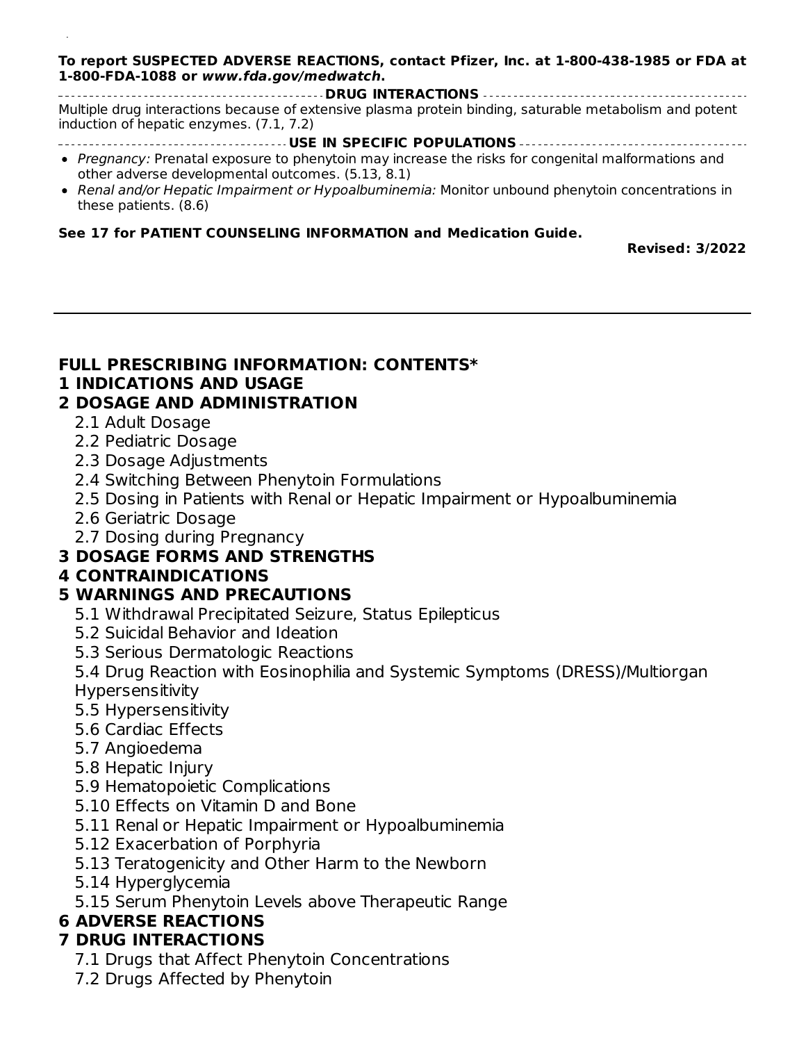#### **To report SUSPECTED ADVERSE REACTIONS, contact Pfizer, Inc. at 1-800-438-1985 or FDA at 1-800-FDA-1088 or www.fda.gov/medwatch.**

**DRUG INTERACTIONS** Multiple drug interactions because of extensive plasma protein binding, saturable metabolism and potent induction of hepatic enzymes. (7.1, 7.2)

- **USE IN SPECIFIC POPULATIONS**
- Pregnancy: Prenatal exposure to phenytoin may increase the risks for congenital malformations and other adverse developmental outcomes. (5.13, 8.1)
- Renal and/or Hepatic Impairment or Hypoalbuminemia: Monitor unbound phenytoin concentrations in these patients. (8.6)

#### **See 17 for PATIENT COUNSELING INFORMATION and Medication Guide.**

speech, decreased coordination, somnolence, and mental confusion. (6)

**Revised: 3/2022**

#### **FULL PRESCRIBING INFORMATION: CONTENTS\***

#### **1 INDICATIONS AND USAGE**

#### **2 DOSAGE AND ADMINISTRATION**

- 2.1 Adult Dosage
- 2.2 Pediatric Dosage
- 2.3 Dosage Adjustments
- 2.4 Switching Between Phenytoin Formulations
- 2.5 Dosing in Patients with Renal or Hepatic Impairment or Hypoalbuminemia
- 2.6 Geriatric Dosage
- 2.7 Dosing during Pregnancy

### **3 DOSAGE FORMS AND STRENGTHS**

#### **4 CONTRAINDICATIONS**

#### **5 WARNINGS AND PRECAUTIONS**

- 5.1 Withdrawal Precipitated Seizure, Status Epilepticus
- 5.2 Suicidal Behavior and Ideation
- 5.3 Serious Dermatologic Reactions

5.4 Drug Reaction with Eosinophilia and Systemic Symptoms (DRESS)/Multiorgan Hypersensitivity

- 5.5 Hypersensitivity
- 5.6 Cardiac Effects
- 5.7 Angioedema
- 5.8 Hepatic Injury
- 5.9 Hematopoietic Complications
- 5.10 Effects on Vitamin D and Bone
- 5.11 Renal or Hepatic Impairment or Hypoalbuminemia
- 5.12 Exacerbation of Porphyria
- 5.13 Teratogenicity and Other Harm to the Newborn
- 5.14 Hyperglycemia
- 5.15 Serum Phenytoin Levels above Therapeutic Range

### **6 ADVERSE REACTIONS**

#### **7 DRUG INTERACTIONS**

- 7.1 Drugs that Affect Phenytoin Concentrations
- 7.2 Drugs Affected by Phenytoin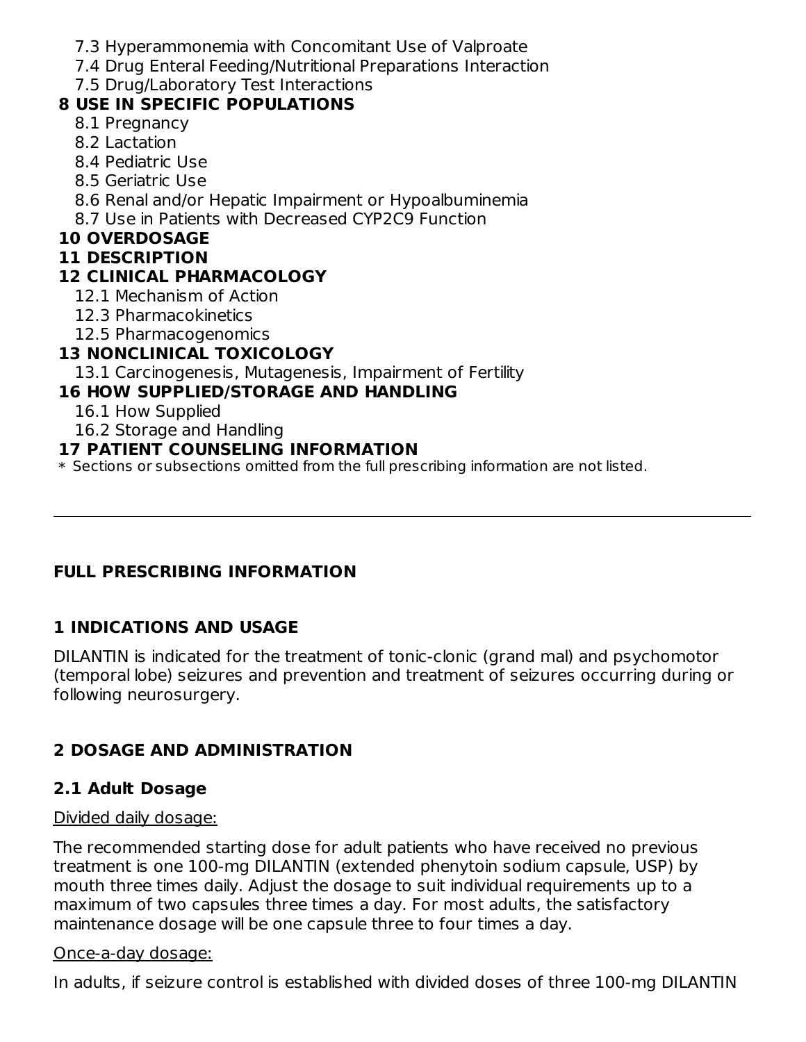- 7.3 Hyperammonemia with Concomitant Use of Valproate
- 7.4 Drug Enteral Feeding/Nutritional Preparations Interaction
- 7.5 Drug/Laboratory Test Interactions

## **8 USE IN SPECIFIC POPULATIONS**

- 8.1 Pregnancy
- 8.2 Lactation
- 8.4 Pediatric Use
- 8.5 Geriatric Use
- 8.6 Renal and/or Hepatic Impairment or Hypoalbuminemia
- 8.7 Use in Patients with Decreased CYP2C9 Function

### **10 OVERDOSAGE**

#### **11 DESCRIPTION**

## **12 CLINICAL PHARMACOLOGY**

- 12.1 Mechanism of Action
- 12.3 Pharmacokinetics
- 12.5 Pharmacogenomics

### **13 NONCLINICAL TOXICOLOGY**

13.1 Carcinogenesis, Mutagenesis, Impairment of Fertility

## **16 HOW SUPPLIED/STORAGE AND HANDLING**

- 16.1 How Supplied
- 16.2 Storage and Handling

#### **17 PATIENT COUNSELING INFORMATION**

\* Sections or subsections omitted from the full prescribing information are not listed.

### **FULL PRESCRIBING INFORMATION**

## **1 INDICATIONS AND USAGE**

DILANTIN is indicated for the treatment of tonic-clonic (grand mal) and psychomotor (temporal lobe) seizures and prevention and treatment of seizures occurring during or following neurosurgery.

## **2 DOSAGE AND ADMINISTRATION**

### **2.1 Adult Dosage**

#### Divided daily dosage:

The recommended starting dose for adult patients who have received no previous treatment is one 100-mg DILANTIN (extended phenytoin sodium capsule, USP) by mouth three times daily. Adjust the dosage to suit individual requirements up to a maximum of two capsules three times a day. For most adults, the satisfactory maintenance dosage will be one capsule three to four times a day.

#### Once-a-day dosage:

In adults, if seizure control is established with divided doses of three 100-mg DILANTIN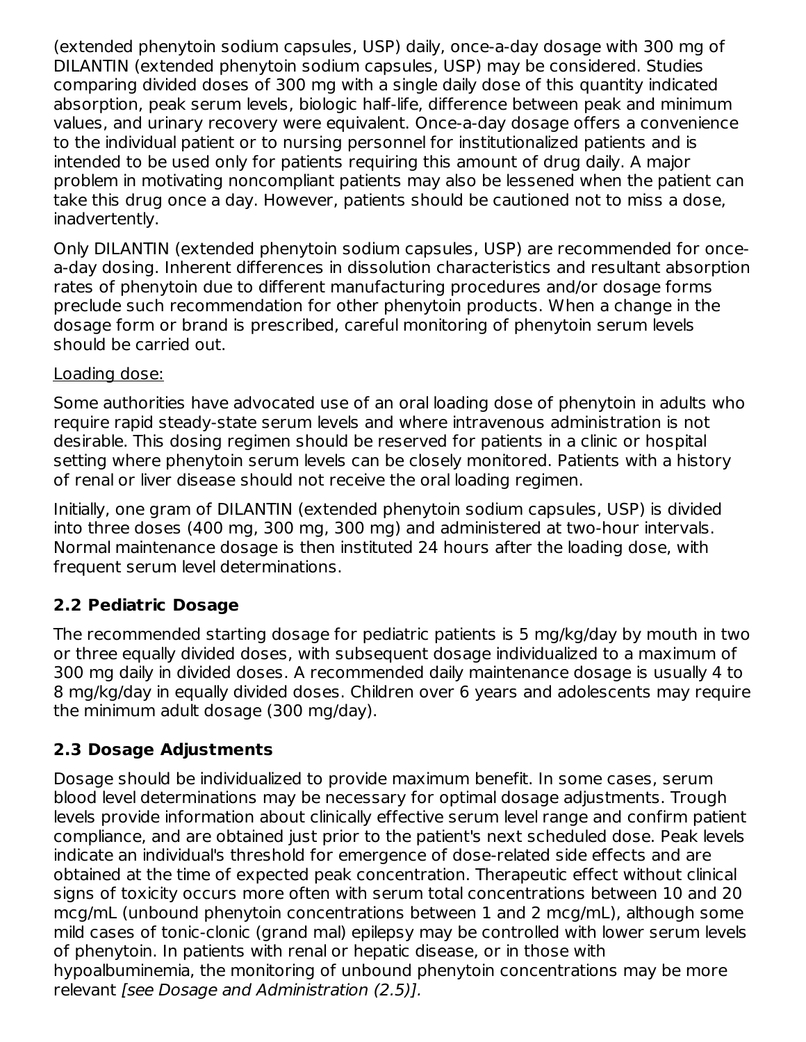(extended phenytoin sodium capsules, USP) daily, once-a-day dosage with 300 mg of DILANTIN (extended phenytoin sodium capsules, USP) may be considered. Studies comparing divided doses of 300 mg with a single daily dose of this quantity indicated absorption, peak serum levels, biologic half-life, difference between peak and minimum values, and urinary recovery were equivalent. Once-a-day dosage offers a convenience to the individual patient or to nursing personnel for institutionalized patients and is intended to be used only for patients requiring this amount of drug daily. A major problem in motivating noncompliant patients may also be lessened when the patient can take this drug once a day. However, patients should be cautioned not to miss a dose, inadvertently.

Only DILANTIN (extended phenytoin sodium capsules, USP) are recommended for oncea-day dosing. Inherent differences in dissolution characteristics and resultant absorption rates of phenytoin due to different manufacturing procedures and/or dosage forms preclude such recommendation for other phenytoin products. When a change in the dosage form or brand is prescribed, careful monitoring of phenytoin serum levels should be carried out.

#### Loading dose:

Some authorities have advocated use of an oral loading dose of phenytoin in adults who require rapid steady-state serum levels and where intravenous administration is not desirable. This dosing regimen should be reserved for patients in a clinic or hospital setting where phenytoin serum levels can be closely monitored. Patients with a history of renal or liver disease should not receive the oral loading regimen.

Initially, one gram of DILANTIN (extended phenytoin sodium capsules, USP) is divided into three doses (400 mg, 300 mg, 300 mg) and administered at two-hour intervals. Normal maintenance dosage is then instituted 24 hours after the loading dose, with frequent serum level determinations.

## **2.2 Pediatric Dosage**

The recommended starting dosage for pediatric patients is 5 mg/kg/day by mouth in two or three equally divided doses, with subsequent dosage individualized to a maximum of 300 mg daily in divided doses. A recommended daily maintenance dosage is usually 4 to 8 mg/kg/day in equally divided doses. Children over 6 years and adolescents may require the minimum adult dosage (300 mg/day).

## **2.3 Dosage Adjustments**

Dosage should be individualized to provide maximum benefit. In some cases, serum blood level determinations may be necessary for optimal dosage adjustments. Trough levels provide information about clinically effective serum level range and confirm patient compliance, and are obtained just prior to the patient's next scheduled dose. Peak levels indicate an individual's threshold for emergence of dose-related side effects and are obtained at the time of expected peak concentration. Therapeutic effect without clinical signs of toxicity occurs more often with serum total concentrations between 10 and 20 mcg/mL (unbound phenytoin concentrations between 1 and 2 mcg/mL), although some mild cases of tonic-clonic (grand mal) epilepsy may be controlled with lower serum levels of phenytoin. In patients with renal or hepatic disease, or in those with hypoalbuminemia, the monitoring of unbound phenytoin concentrations may be more relevant [see Dosage and Administration (2.5)].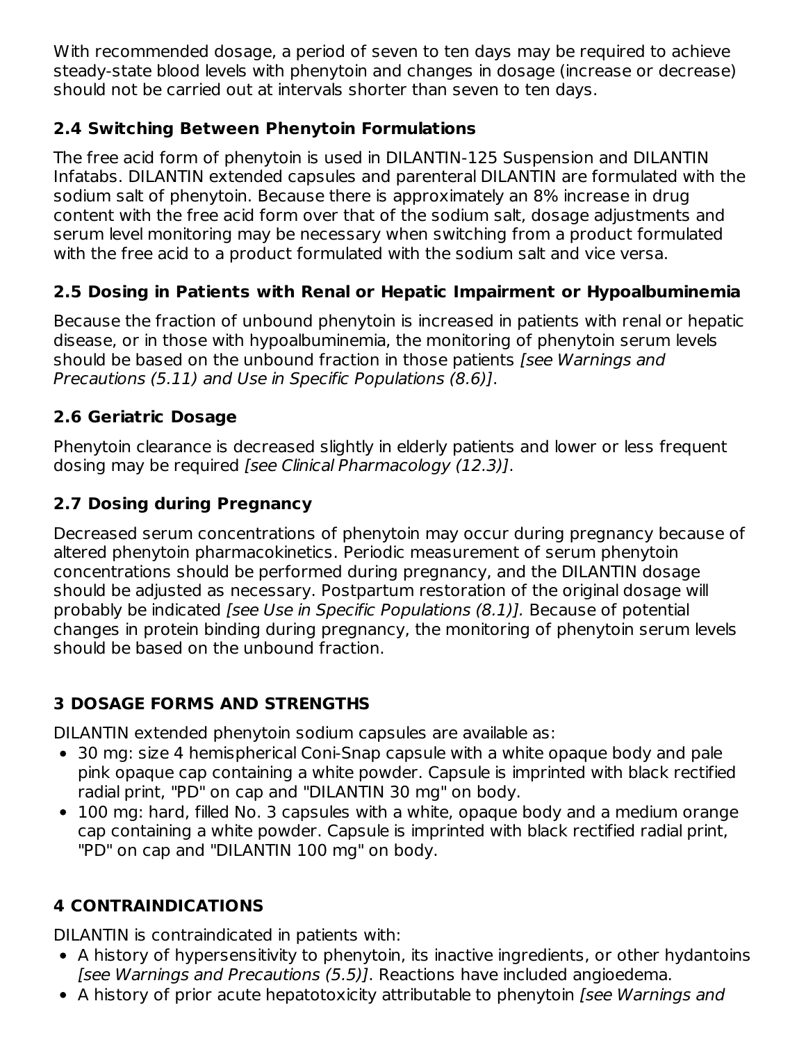With recommended dosage, a period of seven to ten days may be required to achieve steady-state blood levels with phenytoin and changes in dosage (increase or decrease) should not be carried out at intervals shorter than seven to ten days.

## **2.4 Switching Between Phenytoin Formulations**

The free acid form of phenytoin is used in DILANTIN-125 Suspension and DILANTIN Infatabs. DILANTIN extended capsules and parenteral DILANTIN are formulated with the sodium salt of phenytoin. Because there is approximately an 8% increase in drug content with the free acid form over that of the sodium salt, dosage adjustments and serum level monitoring may be necessary when switching from a product formulated with the free acid to a product formulated with the sodium salt and vice versa.

## **2.5 Dosing in Patients with Renal or Hepatic Impairment or Hypoalbuminemia**

Because the fraction of unbound phenytoin is increased in patients with renal or hepatic disease, or in those with hypoalbuminemia, the monitoring of phenytoin serum levels should be based on the unbound fraction in those patients *[see Warnings and* Precautions (5.11) and Use in Specific Populations (8.6)].

## **2.6 Geriatric Dosage**

Phenytoin clearance is decreased slightly in elderly patients and lower or less frequent dosing may be required [see Clinical Pharmacology (12.3)].

# **2.7 Dosing during Pregnancy**

Decreased serum concentrations of phenytoin may occur during pregnancy because of altered phenytoin pharmacokinetics. Periodic measurement of serum phenytoin concentrations should be performed during pregnancy, and the DILANTIN dosage should be adjusted as necessary. Postpartum restoration of the original dosage will probably be indicated [see Use in Specific Populations (8.1)]. Because of potential changes in protein binding during pregnancy, the monitoring of phenytoin serum levels should be based on the unbound fraction.

## **3 DOSAGE FORMS AND STRENGTHS**

DILANTIN extended phenytoin sodium capsules are available as:

- 30 mg: size 4 hemispherical Coni-Snap capsule with a white opaque body and pale pink opaque cap containing a white powder. Capsule is imprinted with black rectified radial print, "PD" on cap and "DILANTIN 30 mg" on body.
- 100 mg: hard, filled No. 3 capsules with a white, opaque body and a medium orange cap containing a white powder. Capsule is imprinted with black rectified radial print, "PD" on cap and "DILANTIN 100 mg" on body.

# **4 CONTRAINDICATIONS**

DILANTIN is contraindicated in patients with:

- A history of hypersensitivity to phenytoin, its inactive ingredients, or other hydantoins [see Warnings and Precautions (5.5)]. Reactions have included angioedema.
- A history of prior acute hepatotoxicity attributable to phenytoin [see Warnings and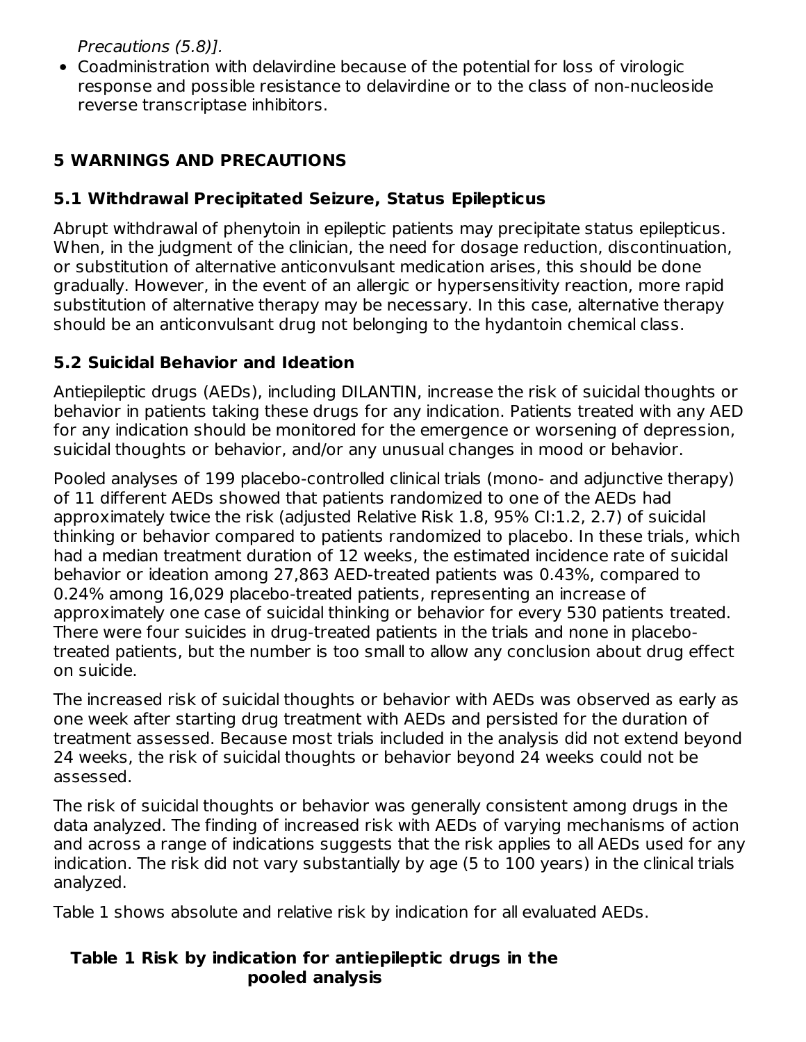Precautions (5.8)].

Coadministration with delavirdine because of the potential for loss of virologic response and possible resistance to delavirdine or to the class of non-nucleoside reverse transcriptase inhibitors.

## **5 WARNINGS AND PRECAUTIONS**

### **5.1 Withdrawal Precipitated Seizure, Status Epilepticus**

Abrupt withdrawal of phenytoin in epileptic patients may precipitate status epilepticus. When, in the judgment of the clinician, the need for dosage reduction, discontinuation, or substitution of alternative anticonvulsant medication arises, this should be done gradually. However, in the event of an allergic or hypersensitivity reaction, more rapid substitution of alternative therapy may be necessary. In this case, alternative therapy should be an anticonvulsant drug not belonging to the hydantoin chemical class.

### **5.2 Suicidal Behavior and Ideation**

Antiepileptic drugs (AEDs), including DILANTIN, increase the risk of suicidal thoughts or behavior in patients taking these drugs for any indication. Patients treated with any AED for any indication should be monitored for the emergence or worsening of depression, suicidal thoughts or behavior, and/or any unusual changes in mood or behavior.

Pooled analyses of 199 placebo-controlled clinical trials (mono- and adjunctive therapy) of 11 different AEDs showed that patients randomized to one of the AEDs had approximately twice the risk (adjusted Relative Risk 1.8, 95% CI:1.2, 2.7) of suicidal thinking or behavior compared to patients randomized to placebo. In these trials, which had a median treatment duration of 12 weeks, the estimated incidence rate of suicidal behavior or ideation among 27,863 AED-treated patients was 0.43%, compared to 0.24% among 16,029 placebo-treated patients, representing an increase of approximately one case of suicidal thinking or behavior for every 530 patients treated. There were four suicides in drug-treated patients in the trials and none in placebotreated patients, but the number is too small to allow any conclusion about drug effect on suicide.

The increased risk of suicidal thoughts or behavior with AEDs was observed as early as one week after starting drug treatment with AEDs and persisted for the duration of treatment assessed. Because most trials included in the analysis did not extend beyond 24 weeks, the risk of suicidal thoughts or behavior beyond 24 weeks could not be assessed.

The risk of suicidal thoughts or behavior was generally consistent among drugs in the data analyzed. The finding of increased risk with AEDs of varying mechanisms of action and across a range of indications suggests that the risk applies to all AEDs used for any indication. The risk did not vary substantially by age (5 to 100 years) in the clinical trials analyzed.

Table 1 shows absolute and relative risk by indication for all evaluated AEDs.

#### **Table 1 Risk by indication for antiepileptic drugs in the pooled analysis**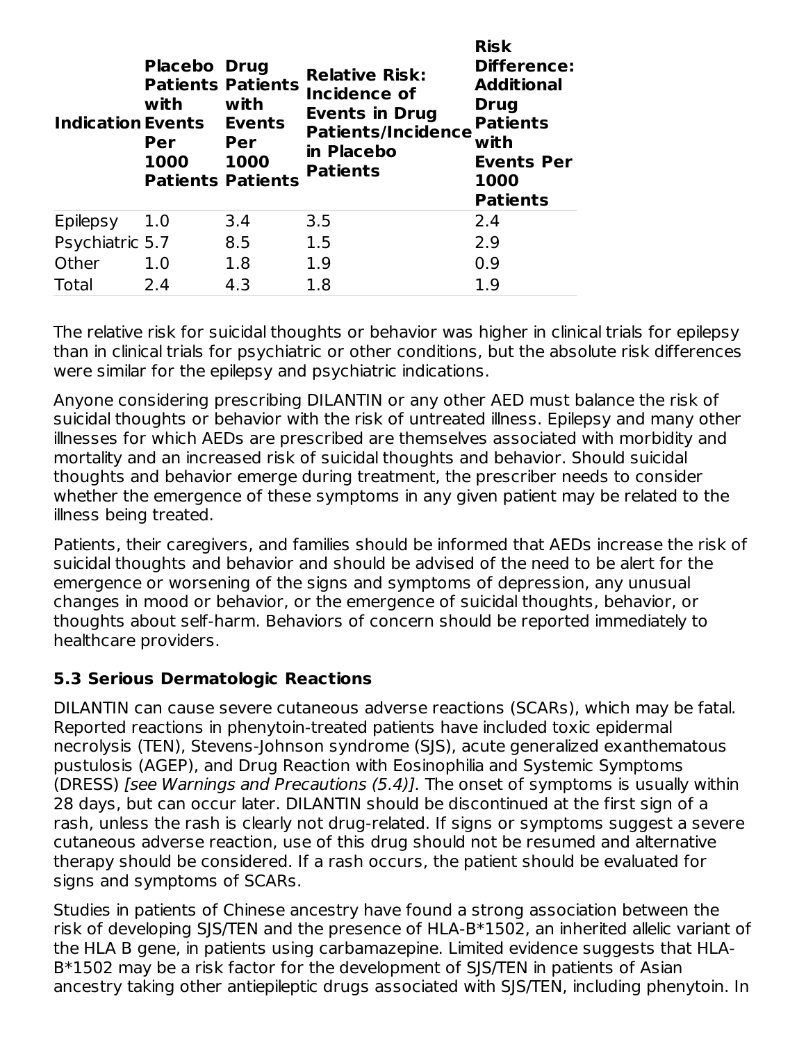| <b>Indication Events</b> | <b>Placebo Drug</b><br>with<br>Per<br>1000 | <b>Patients Patients</b><br>with<br><b>Events</b><br>Per<br>1000<br><b>Patients Patients</b> | <b>Relative Risk:</b><br><b>Incidence of</b><br><b>Events in Drug</b><br><b>Patients/Incidence</b><br>in Placebo<br><b>Patients</b> | <b>Risk</b><br><b>Difference:</b><br><b>Additional</b><br><b>Drug</b><br><b>Patients</b><br>with<br><b>Events Per</b><br>1000<br><b>Patients</b> |
|--------------------------|--------------------------------------------|----------------------------------------------------------------------------------------------|-------------------------------------------------------------------------------------------------------------------------------------|--------------------------------------------------------------------------------------------------------------------------------------------------|
| Epilepsy                 | 1.0                                        | 3.4                                                                                          | 3.5                                                                                                                                 | 2.4                                                                                                                                              |
| Psychiatric 5.7          |                                            | 8.5                                                                                          | 1.5                                                                                                                                 | 2.9                                                                                                                                              |
| Other                    | 1.0                                        | 1.8                                                                                          | 1.9                                                                                                                                 | 0.9                                                                                                                                              |
| Total                    | 2.4                                        | 4.3                                                                                          | 1.8                                                                                                                                 | 1.9                                                                                                                                              |

The relative risk for suicidal thoughts or behavior was higher in clinical trials for epilepsy than in clinical trials for psychiatric or other conditions, but the absolute risk differences were similar for the epilepsy and psychiatric indications.

Anyone considering prescribing DILANTIN or any other AED must balance the risk of suicidal thoughts or behavior with the risk of untreated illness. Epilepsy and many other illnesses for which AEDs are prescribed are themselves associated with morbidity and mortality and an increased risk of suicidal thoughts and behavior. Should suicidal thoughts and behavior emerge during treatment, the prescriber needs to consider whether the emergence of these symptoms in any given patient may be related to the illness being treated.

Patients, their caregivers, and families should be informed that AEDs increase the risk of suicidal thoughts and behavior and should be advised of the need to be alert for the emergence or worsening of the signs and symptoms of depression, any unusual changes in mood or behavior, or the emergence of suicidal thoughts, behavior, or thoughts about self-harm. Behaviors of concern should be reported immediately to healthcare providers.

### **5.3 Serious Dermatologic Reactions**

DILANTIN can cause severe cutaneous adverse reactions (SCARs), which may be fatal. Reported reactions in phenytoin-treated patients have included toxic epidermal necrolysis (TEN), Stevens-Johnson syndrome (SJS), acute generalized exanthematous pustulosis (AGEP), and Drug Reaction with Eosinophilia and Systemic Symptoms (DRESS) [see Warnings and Precautions (5.4)]. The onset of symptoms is usually within 28 days, but can occur later. DILANTIN should be discontinued at the first sign of a rash, unless the rash is clearly not drug-related. If signs or symptoms suggest a severe cutaneous adverse reaction, use of this drug should not be resumed and alternative therapy should be considered. If a rash occurs, the patient should be evaluated for signs and symptoms of SCARs.

Studies in patients of Chinese ancestry have found a strong association between the risk of developing SJS/TEN and the presence of HLA-B\*1502, an inherited allelic variant of the HLA B gene, in patients using carbamazepine. Limited evidence suggests that HLA-B\*1502 may be a risk factor for the development of SJS/TEN in patients of Asian ancestry taking other antiepileptic drugs associated with SJS/TEN, including phenytoin. In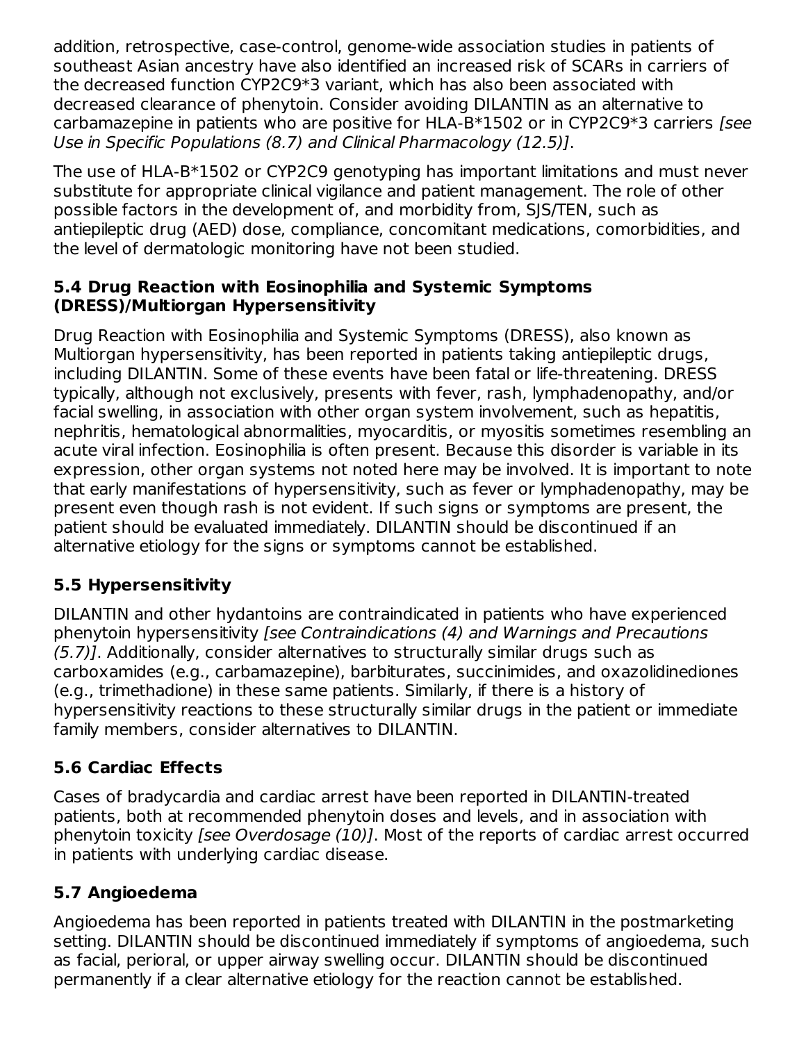addition, retrospective, case-control, genome-wide association studies in patients of southeast Asian ancestry have also identified an increased risk of SCARs in carriers of the decreased function CYP2C9\*3 variant, which has also been associated with decreased clearance of phenytoin. Consider avoiding DILANTIN as an alternative to carbamazepine in patients who are positive for HLA-B\*1502 or in CYP2C9\*3 carriers [see Use in Specific Populations (8.7) and Clinical Pharmacology (12.5)].

The use of HLA-B\*1502 or CYP2C9 genotyping has important limitations and must never substitute for appropriate clinical vigilance and patient management. The role of other possible factors in the development of, and morbidity from, SJS/TEN, such as antiepileptic drug (AED) dose, compliance, concomitant medications, comorbidities, and the level of dermatologic monitoring have not been studied.

#### **5.4 Drug Reaction with Eosinophilia and Systemic Symptoms (DRESS)/Multiorgan Hypersensitivity**

Drug Reaction with Eosinophilia and Systemic Symptoms (DRESS), also known as Multiorgan hypersensitivity, has been reported in patients taking antiepileptic drugs, including DILANTIN. Some of these events have been fatal or life-threatening. DRESS typically, although not exclusively, presents with fever, rash, lymphadenopathy, and/or facial swelling, in association with other organ system involvement, such as hepatitis, nephritis, hematological abnormalities, myocarditis, or myositis sometimes resembling an acute viral infection. Eosinophilia is often present. Because this disorder is variable in its expression, other organ systems not noted here may be involved. It is important to note that early manifestations of hypersensitivity, such as fever or lymphadenopathy, may be present even though rash is not evident. If such signs or symptoms are present, the patient should be evaluated immediately. DILANTIN should be discontinued if an alternative etiology for the signs or symptoms cannot be established.

### **5.5 Hypersensitivity**

DILANTIN and other hydantoins are contraindicated in patients who have experienced phenytoin hypersensitivity [see Contraindications (4) and Warnings and Precautions (5.7)]. Additionally, consider alternatives to structurally similar drugs such as carboxamides (e.g., carbamazepine), barbiturates, succinimides, and oxazolidinediones (e.g., trimethadione) in these same patients. Similarly, if there is a history of hypersensitivity reactions to these structurally similar drugs in the patient or immediate family members, consider alternatives to DILANTIN.

## **5.6 Cardiac Effects**

Cases of bradycardia and cardiac arrest have been reported in DILANTIN-treated patients, both at recommended phenytoin doses and levels, and in association with phenytoin toxicity [see Overdosage (10)]. Most of the reports of cardiac arrest occurred in patients with underlying cardiac disease.

## **5.7 Angioedema**

Angioedema has been reported in patients treated with DILANTIN in the postmarketing setting. DILANTIN should be discontinued immediately if symptoms of angioedema, such as facial, perioral, or upper airway swelling occur. DILANTIN should be discontinued permanently if a clear alternative etiology for the reaction cannot be established.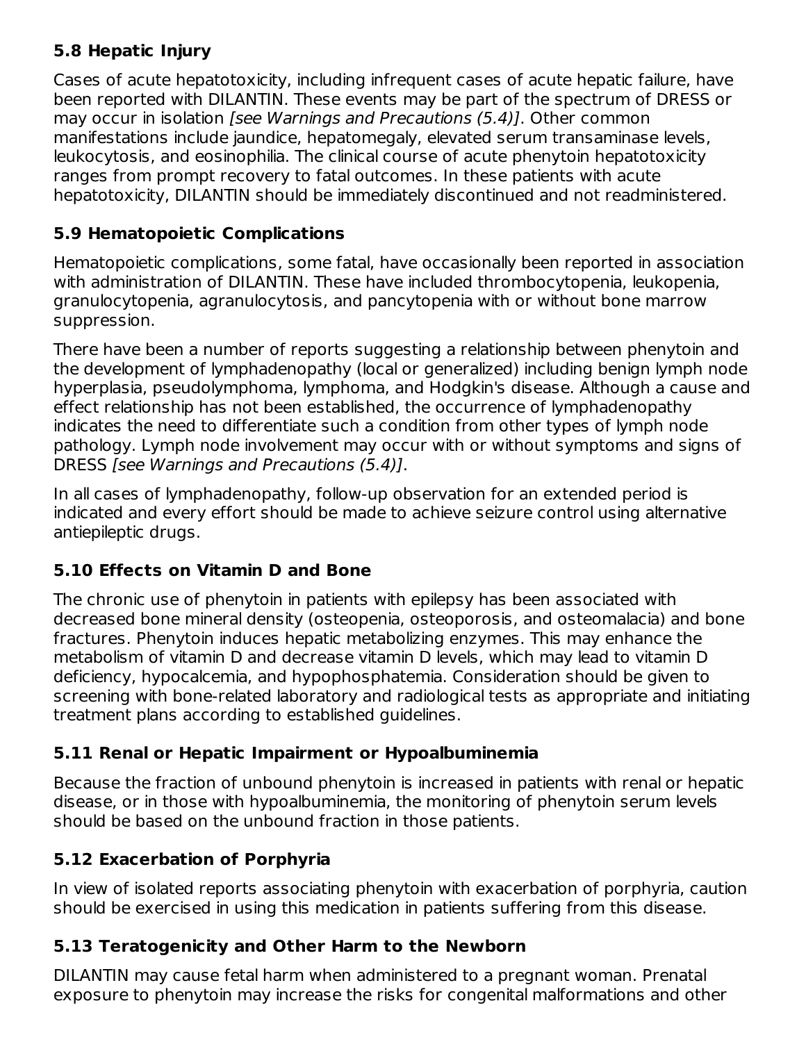### **5.8 Hepatic Injury**

Cases of acute hepatotoxicity, including infrequent cases of acute hepatic failure, have been reported with DILANTIN. These events may be part of the spectrum of DRESS or may occur in isolation *[see Warnings and Precautions (5.4)]*. Other common manifestations include jaundice, hepatomegaly, elevated serum transaminase levels, leukocytosis, and eosinophilia. The clinical course of acute phenytoin hepatotoxicity ranges from prompt recovery to fatal outcomes. In these patients with acute hepatotoxicity, DILANTIN should be immediately discontinued and not readministered.

### **5.9 Hematopoietic Complications**

Hematopoietic complications, some fatal, have occasionally been reported in association with administration of DILANTIN. These have included thrombocytopenia, leukopenia, granulocytopenia, agranulocytosis, and pancytopenia with or without bone marrow suppression.

There have been a number of reports suggesting a relationship between phenytoin and the development of lymphadenopathy (local or generalized) including benign lymph node hyperplasia, pseudolymphoma, lymphoma, and Hodgkin's disease. Although a cause and effect relationship has not been established, the occurrence of lymphadenopathy indicates the need to differentiate such a condition from other types of lymph node pathology. Lymph node involvement may occur with or without symptoms and signs of DRESS [see Warnings and Precautions (5.4)].

In all cases of lymphadenopathy, follow-up observation for an extended period is indicated and every effort should be made to achieve seizure control using alternative antiepileptic drugs.

## **5.10 Effects on Vitamin D and Bone**

The chronic use of phenytoin in patients with epilepsy has been associated with decreased bone mineral density (osteopenia, osteoporosis, and osteomalacia) and bone fractures. Phenytoin induces hepatic metabolizing enzymes. This may enhance the metabolism of vitamin D and decrease vitamin D levels, which may lead to vitamin D deficiency, hypocalcemia, and hypophosphatemia. Consideration should be given to screening with bone-related laboratory and radiological tests as appropriate and initiating treatment plans according to established guidelines.

## **5.11 Renal or Hepatic Impairment or Hypoalbuminemia**

Because the fraction of unbound phenytoin is increased in patients with renal or hepatic disease, or in those with hypoalbuminemia, the monitoring of phenytoin serum levels should be based on the unbound fraction in those patients.

## **5.12 Exacerbation of Porphyria**

In view of isolated reports associating phenytoin with exacerbation of porphyria, caution should be exercised in using this medication in patients suffering from this disease.

## **5.13 Teratogenicity and Other Harm to the Newborn**

DILANTIN may cause fetal harm when administered to a pregnant woman. Prenatal exposure to phenytoin may increase the risks for congenital malformations and other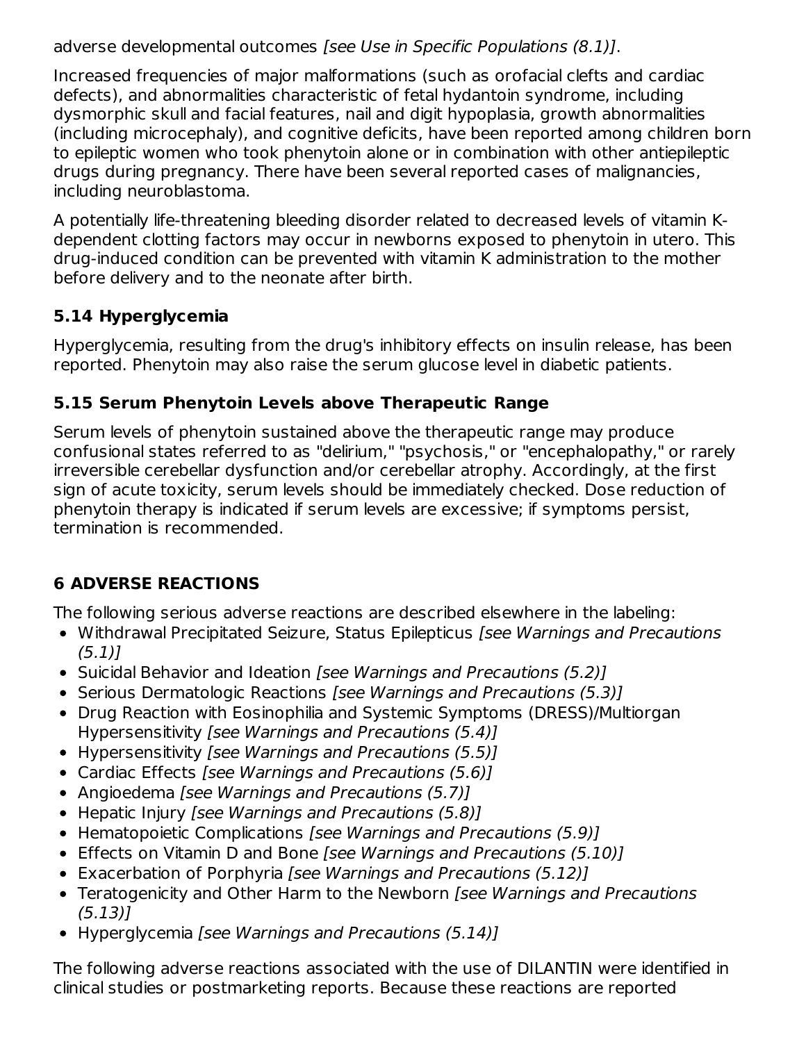adverse developmental outcomes [see Use in Specific Populations (8.1)].

Increased frequencies of major malformations (such as orofacial clefts and cardiac defects), and abnormalities characteristic of fetal hydantoin syndrome, including dysmorphic skull and facial features, nail and digit hypoplasia, growth abnormalities (including microcephaly), and cognitive deficits, have been reported among children born to epileptic women who took phenytoin alone or in combination with other antiepileptic drugs during pregnancy. There have been several reported cases of malignancies, including neuroblastoma.

A potentially life-threatening bleeding disorder related to decreased levels of vitamin Kdependent clotting factors may occur in newborns exposed to phenytoin in utero. This drug-induced condition can be prevented with vitamin K administration to the mother before delivery and to the neonate after birth.

## **5.14 Hyperglycemia**

Hyperglycemia, resulting from the drug's inhibitory effects on insulin release, has been reported. Phenytoin may also raise the serum glucose level in diabetic patients.

## **5.15 Serum Phenytoin Levels above Therapeutic Range**

Serum levels of phenytoin sustained above the therapeutic range may produce confusional states referred to as "delirium," "psychosis," or "encephalopathy," or rarely irreversible cerebellar dysfunction and/or cerebellar atrophy. Accordingly, at the first sign of acute toxicity, serum levels should be immediately checked. Dose reduction of phenytoin therapy is indicated if serum levels are excessive; if symptoms persist, termination is recommended.

# **6 ADVERSE REACTIONS**

The following serious adverse reactions are described elsewhere in the labeling:

- Withdrawal Precipitated Seizure, Status Epilepticus [see Warnings and Precautions  $(5.1)$
- Suicidal Behavior and Ideation [see Warnings and Precautions (5.2)]
- Serious Dermatologic Reactions [see Warnings and Precautions (5.3)]
- Drug Reaction with Eosinophilia and Systemic Symptoms (DRESS)/Multiorgan Hypersensitivity [see Warnings and Precautions (5.4)]
- Hypersensitivity [see Warnings and Precautions (5.5)]
- Cardiac Effects [see Warnings and Precautions (5.6)]
- Angioedema [see Warnings and Precautions (5.7)]
- Hepatic Injury *[see Warnings and Precautions (5.8)]*
- Hematopoietic Complications [see Warnings and Precautions (5.9)]
- Effects on Vitamin D and Bone [see Warnings and Precautions (5.10)]
- Exacerbation of Porphyria [see Warnings and Precautions (5.12)]
- Teratogenicity and Other Harm to the Newborn [see Warnings and Precautions (5.13)]
- Hyperglycemia [see Warnings and Precautions (5.14)]

The following adverse reactions associated with the use of DILANTIN were identified in clinical studies or postmarketing reports. Because these reactions are reported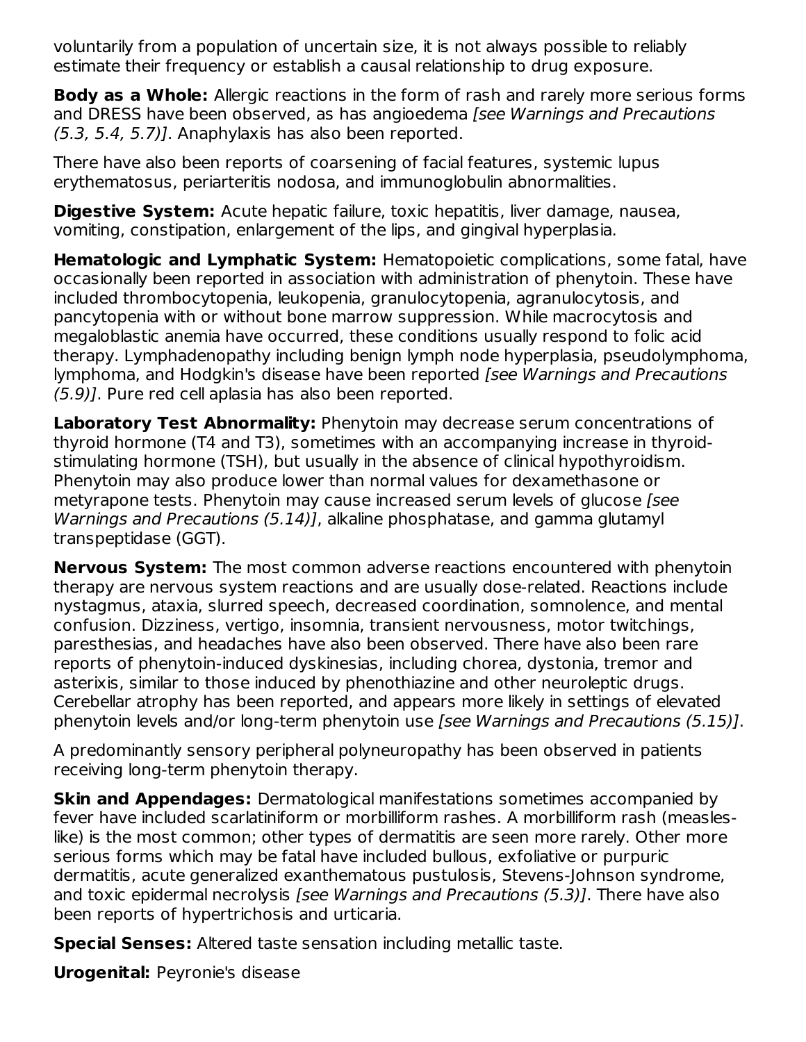voluntarily from a population of uncertain size, it is not always possible to reliably estimate their frequency or establish a causal relationship to drug exposure.

**Body as a Whole:** Allergic reactions in the form of rash and rarely more serious forms and DRESS have been observed, as has angioedema [see Warnings and Precautions  $(5.3, 5.4, 5.7)$ ]. Anaphylaxis has also been reported.

There have also been reports of coarsening of facial features, systemic lupus erythematosus, periarteritis nodosa, and immunoglobulin abnormalities.

**Digestive System:** Acute hepatic failure, toxic hepatitis, liver damage, nausea, vomiting, constipation, enlargement of the lips, and gingival hyperplasia.

**Hematologic and Lymphatic System:** Hematopoietic complications, some fatal, have occasionally been reported in association with administration of phenytoin. These have included thrombocytopenia, leukopenia, granulocytopenia, agranulocytosis, and pancytopenia with or without bone marrow suppression. While macrocytosis and megaloblastic anemia have occurred, these conditions usually respond to folic acid therapy. Lymphadenopathy including benign lymph node hyperplasia, pseudolymphoma, lymphoma, and Hodgkin's disease have been reported [see Warnings and Precautions (5.9)]. Pure red cell aplasia has also been reported.

**Laboratory Test Abnormality:** Phenytoin may decrease serum concentrations of thyroid hormone (T4 and T3), sometimes with an accompanying increase in thyroidstimulating hormone (TSH), but usually in the absence of clinical hypothyroidism. Phenytoin may also produce lower than normal values for dexamethasone or metyrapone tests. Phenytoin may cause increased serum levels of glucose [see Warnings and Precautions (5.14)], alkaline phosphatase, and gamma glutamyl transpeptidase (GGT).

**Nervous System:** The most common adverse reactions encountered with phenytoin therapy are nervous system reactions and are usually dose-related. Reactions include nystagmus, ataxia, slurred speech, decreased coordination, somnolence, and mental confusion. Dizziness, vertigo, insomnia, transient nervousness, motor twitchings, paresthesias, and headaches have also been observed. There have also been rare reports of phenytoin-induced dyskinesias, including chorea, dystonia, tremor and asterixis, similar to those induced by phenothiazine and other neuroleptic drugs. Cerebellar atrophy has been reported, and appears more likely in settings of elevated phenytoin levels and/or long-term phenytoin use [see Warnings and Precautions (5.15)].

A predominantly sensory peripheral polyneuropathy has been observed in patients receiving long-term phenytoin therapy.

**Skin and Appendages:** Dermatological manifestations sometimes accompanied by fever have included scarlatiniform or morbilliform rashes. A morbilliform rash (measleslike) is the most common; other types of dermatitis are seen more rarely. Other more serious forms which may be fatal have included bullous, exfoliative or purpuric dermatitis, acute generalized exanthematous pustulosis, Stevens-Johnson syndrome, and toxic epidermal necrolysis [see Warnings and Precautions (5.3)]. There have also been reports of hypertrichosis and urticaria.

**Special Senses:** Altered taste sensation including metallic taste.

**Urogenital:** Peyronie's disease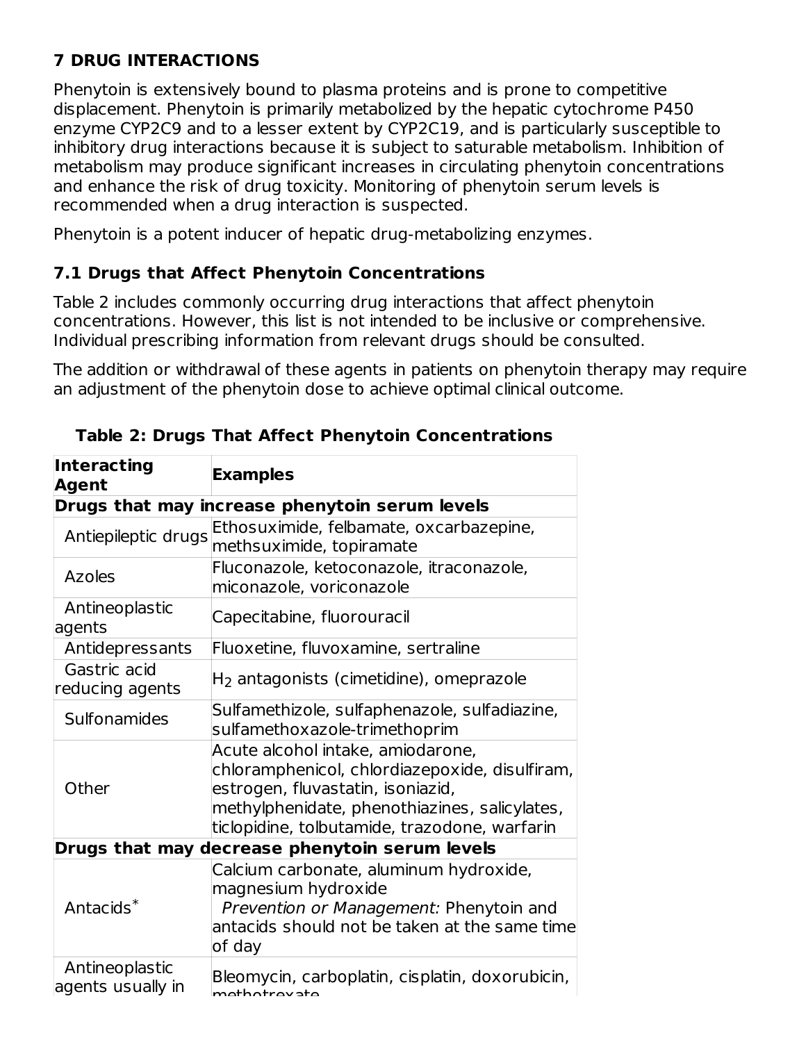# **7 DRUG INTERACTIONS**

Phenytoin is extensively bound to plasma proteins and is prone to competitive displacement. Phenytoin is primarily metabolized by the hepatic cytochrome P450 enzyme CYP2C9 and to a lesser extent by CYP2C19, and is particularly susceptible to inhibitory drug interactions because it is subject to saturable metabolism. Inhibition of metabolism may produce significant increases in circulating phenytoin concentrations and enhance the risk of drug toxicity. Monitoring of phenytoin serum levels is recommended when a drug interaction is suspected.

Phenytoin is a potent inducer of hepatic drug-metabolizing enzymes.

### **7.1 Drugs that Affect Phenytoin Concentrations**

Table 2 includes commonly occurring drug interactions that affect phenytoin concentrations. However, this list is not intended to be inclusive or comprehensive. Individual prescribing information from relevant drugs should be consulted.

The addition or withdrawal of these agents in patients on phenytoin therapy may require an adjustment of the phenytoin dose to achieve optimal clinical outcome.

| <b>Interacting</b><br>Agent         | <b>Examples</b>                                                                                                                                                                                                            |  |  |  |
|-------------------------------------|----------------------------------------------------------------------------------------------------------------------------------------------------------------------------------------------------------------------------|--|--|--|
|                                     | Drugs that may increase phenytoin serum levels                                                                                                                                                                             |  |  |  |
| Antiepileptic drugs                 | Ethosuximide, felbamate, oxcarbazepine,<br>methsuximide, topiramate                                                                                                                                                        |  |  |  |
| <b>Azoles</b>                       | Fluconazole, ketoconazole, itraconazole,<br>miconazole, voriconazole                                                                                                                                                       |  |  |  |
| Antineoplastic<br>agents            | Capecitabine, fluorouracil                                                                                                                                                                                                 |  |  |  |
| Antidepressants                     | Fluoxetine, fluvoxamine, sertraline                                                                                                                                                                                        |  |  |  |
| Gastric acid<br>reducing agents     | $H2$ antagonists (cimetidine), omeprazole                                                                                                                                                                                  |  |  |  |
| Sulfonamides                        | Sulfamethizole, sulfaphenazole, sulfadiazine,<br>sulfamethoxazole-trimethoprim                                                                                                                                             |  |  |  |
| Other                               | Acute alcohol intake, amiodarone,<br>chloramphenicol, chlordiazepoxide, disulfiram,<br>estrogen, fluvastatin, isoniazid,<br>methylphenidate, phenothiazines, salicylates,<br>ticlopidine, tolbutamide, trazodone, warfarin |  |  |  |
|                                     | Drugs that may decrease phenytoin serum levels                                                                                                                                                                             |  |  |  |
| Antacids $*$                        | Calcium carbonate, aluminum hydroxide,<br>magnesium hydroxide<br>Prevention or Management: Phenytoin and<br>antacids should not be taken at the same time<br>of day                                                        |  |  |  |
| Antineoplastic<br>agents usually in | Bleomycin, carboplatin, cisplatin, doxorubicin,<br>mothotrowato                                                                                                                                                            |  |  |  |

**Table 2: Drugs That Affect Phenytoin Concentrations**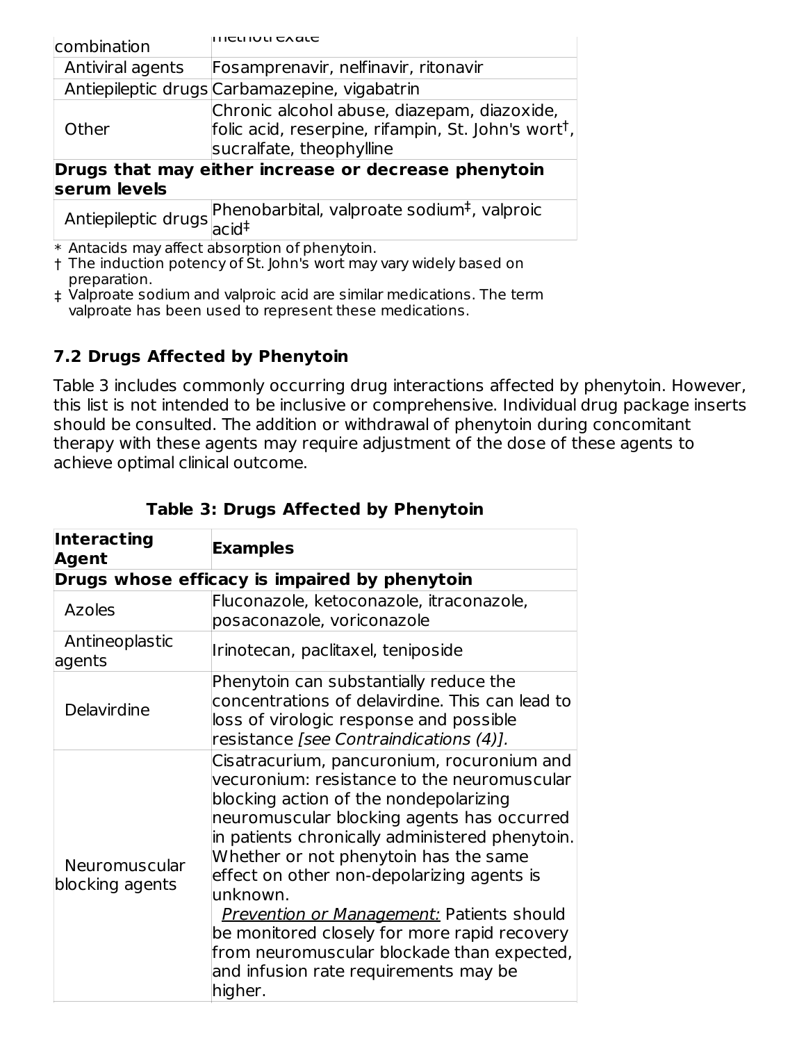| combination      | כנו וטנו כג מנכ                                                                                                                            |
|------------------|--------------------------------------------------------------------------------------------------------------------------------------------|
| Antiviral agents | Fosamprenavir, nelfinavir, ritonavir                                                                                                       |
|                  | Antiepileptic drugs Carbamazepine, vigabatrin                                                                                              |
| Other            | Chronic alcohol abuse, diazepam, diazoxide,<br>folic acid, reserpine, rifampin, St. John's wort <sup>†</sup> ,<br>sucralfate, theophylline |
|                  | Drugs that may either increase or decrease phenytoin                                                                                       |
| serum levels     |                                                                                                                                            |
|                  | Antiepileptic drugs Phenobarbital, valproate sodium <sup>‡</sup> , valproic                                                                |
|                  | * Antacids may affect absorption of phenytoin.                                                                                             |

† The induction potency of St. John's wort may vary widely based on preparation.

‡ Valproate sodium and valproic acid are similar medications. The term valproate has been used to represent these medications.

## **7.2 Drugs Affected by Phenytoin**

Table 3 includes commonly occurring drug interactions affected by phenytoin. However, this list is not intended to be inclusive or comprehensive. Individual drug package inserts should be consulted. The addition or withdrawal of phenytoin during concomitant therapy with these agents may require adjustment of the dose of these agents to achieve optimal clinical outcome.

| Interacting<br>Agent                    | <b>Examples</b>                                                                                                                                                                                                                                                                                                                                                                                                                                                                                                                               |
|-----------------------------------------|-----------------------------------------------------------------------------------------------------------------------------------------------------------------------------------------------------------------------------------------------------------------------------------------------------------------------------------------------------------------------------------------------------------------------------------------------------------------------------------------------------------------------------------------------|
|                                         | Drugs whose efficacy is impaired by phenytoin                                                                                                                                                                                                                                                                                                                                                                                                                                                                                                 |
| <b>Azoles</b>                           | Fluconazole, ketoconazole, itraconazole,<br>posaconazole, voriconazole                                                                                                                                                                                                                                                                                                                                                                                                                                                                        |
| Antineoplastic<br>agents                | Irinotecan, paclitaxel, teniposide                                                                                                                                                                                                                                                                                                                                                                                                                                                                                                            |
| Delavirdine                             | Phenytoin can substantially reduce the<br>concentrations of delavirdine. This can lead to<br>loss of virologic response and possible<br>resistance [see Contraindications (4)].                                                                                                                                                                                                                                                                                                                                                               |
| <b>Neuromuscular</b><br>blocking agents | Cisatracurium, pancuronium, rocuronium and<br>vecuronium: resistance to the neuromuscular<br>blocking action of the nondepolarizing<br>neuromuscular blocking agents has occurred<br>in patients chronically administered phenytoin.<br>Whether or not phenytoin has the same<br>effect on other non-depolarizing agents is<br>unknown.<br><b>Prevention or Management: Patients should</b><br>be monitored closely for more rapid recovery<br>from neuromuscular blockade than expected,<br>and infusion rate requirements may be<br>higher. |

#### **Table 3: Drugs Affected by Phenytoin**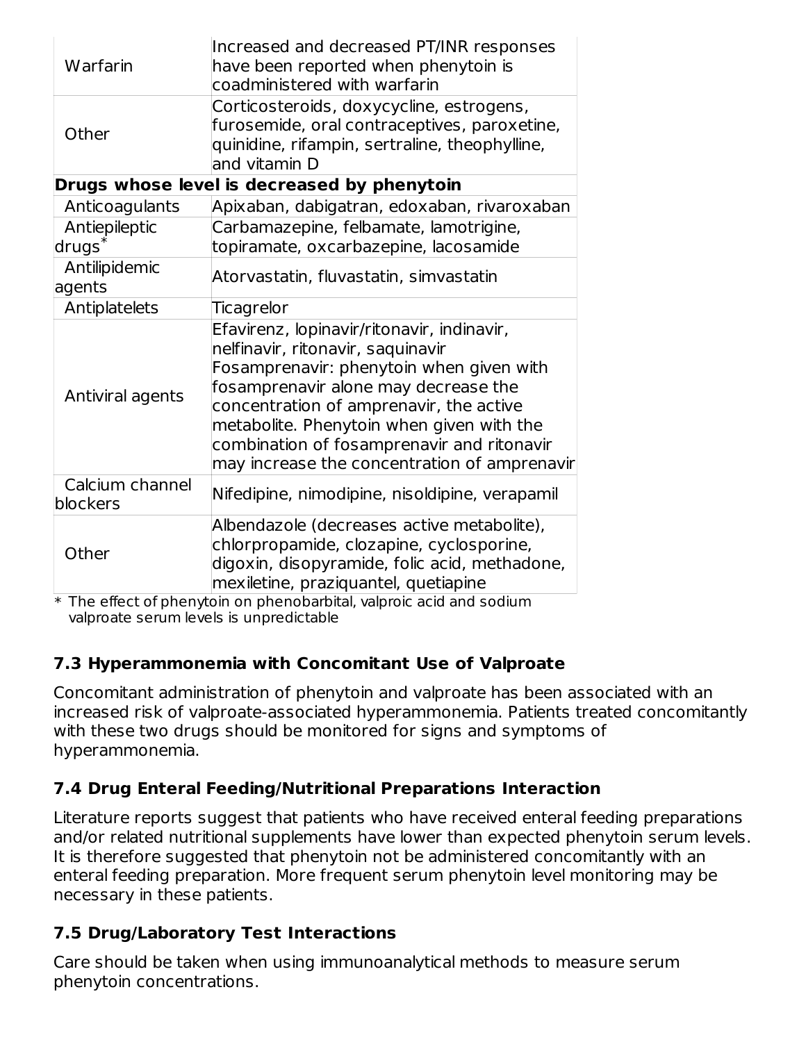| Warfarin                    | Increased and decreased PT/INR responses<br>have been reported when phenytoin is<br>coadministered with warfarin                                                                                                                                                                                                                                          |
|-----------------------------|-----------------------------------------------------------------------------------------------------------------------------------------------------------------------------------------------------------------------------------------------------------------------------------------------------------------------------------------------------------|
| Other                       | Corticosteroids, doxycycline, estrogens,<br>furosemide, oral contraceptives, paroxetine,<br>quinidine, rifampin, sertraline, theophylline,<br>and vitamin D                                                                                                                                                                                               |
|                             | Drugs whose level is decreased by phenytoin                                                                                                                                                                                                                                                                                                               |
| Anticoagulants              | Apixaban, dabigatran, edoxaban, rivaroxaban                                                                                                                                                                                                                                                                                                               |
| Antiepileptic<br>$drugs^*$  | Carbamazepine, felbamate, lamotrigine,<br>topiramate, oxcarbazepine, lacosamide                                                                                                                                                                                                                                                                           |
| Antilipidemic<br>agents     | Atorvastatin, fluvastatin, simvastatin                                                                                                                                                                                                                                                                                                                    |
| Antiplatelets               | Ticagrelor                                                                                                                                                                                                                                                                                                                                                |
| Antiviral agents            | Efavirenz, lopinavir/ritonavir, indinavir,<br>nelfinavir, ritonavir, saquinavir<br>Fosamprenavir: phenytoin when given with<br>fosamprenavir alone may decrease the<br>concentration of amprenavir, the active<br>metabolite. Phenytoin when given with the<br>combination of fosamprenavir and ritonavir<br>may increase the concentration of amprenavir |
| Calcium channel<br>blockers | Nifedipine, nimodipine, nisoldipine, verapamil                                                                                                                                                                                                                                                                                                            |
| Other                       | Albendazole (decreases active metabolite),<br>chlorpropamide, clozapine, cyclosporine,<br>digoxin, disopyramide, folic acid, methadone,<br>mexiletine, praziquantel, quetiapine                                                                                                                                                                           |

 $\ast$  The effect of phenytoin on phenobarbital, valproic acid and sodium valproate serum levels is unpredictable

### **7.3 Hyperammonemia with Concomitant Use of Valproate**

Concomitant administration of phenytoin and valproate has been associated with an increased risk of valproate-associated hyperammonemia. Patients treated concomitantly with these two drugs should be monitored for signs and symptoms of hyperammonemia.

## **7.4 Drug Enteral Feeding/Nutritional Preparations Interaction**

Literature reports suggest that patients who have received enteral feeding preparations and/or related nutritional supplements have lower than expected phenytoin serum levels. It is therefore suggested that phenytoin not be administered concomitantly with an enteral feeding preparation. More frequent serum phenytoin level monitoring may be necessary in these patients.

### **7.5 Drug/Laboratory Test Interactions**

Care should be taken when using immunoanalytical methods to measure serum phenytoin concentrations.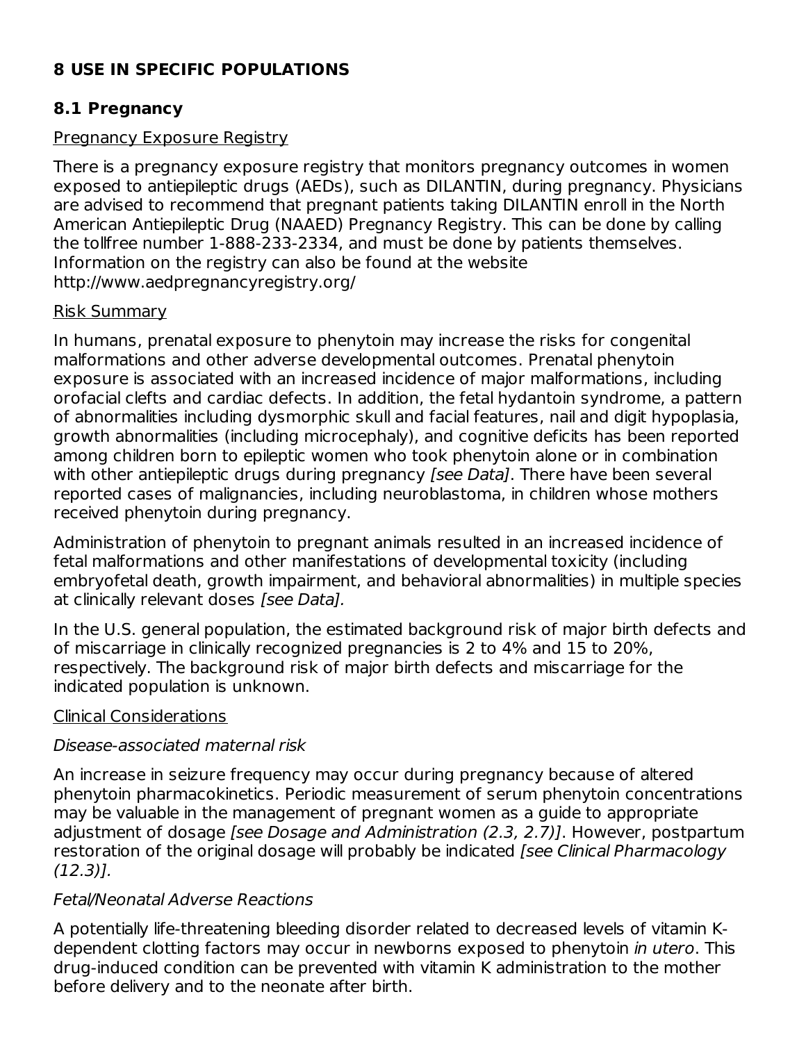## **8 USE IN SPECIFIC POPULATIONS**

#### **8.1 Pregnancy**

#### Pregnancy Exposure Registry

There is a pregnancy exposure registry that monitors pregnancy outcomes in women exposed to antiepileptic drugs (AEDs), such as DILANTIN, during pregnancy. Physicians are advised to recommend that pregnant patients taking DILANTIN enroll in the North American Antiepileptic Drug (NAAED) Pregnancy Registry. This can be done by calling the tollfree number 1-888-233-2334, and must be done by patients themselves. Information on the registry can also be found at the website http://www.aedpregnancyregistry.org/

#### Risk Summary

In humans, prenatal exposure to phenytoin may increase the risks for congenital malformations and other adverse developmental outcomes. Prenatal phenytoin exposure is associated with an increased incidence of major malformations, including orofacial clefts and cardiac defects. In addition, the fetal hydantoin syndrome, a pattern of abnormalities including dysmorphic skull and facial features, nail and digit hypoplasia, growth abnormalities (including microcephaly), and cognitive deficits has been reported among children born to epileptic women who took phenytoin alone or in combination with other antiepileptic drugs during pregnancy *[see Data]*. There have been several reported cases of malignancies, including neuroblastoma, in children whose mothers received phenytoin during pregnancy.

Administration of phenytoin to pregnant animals resulted in an increased incidence of fetal malformations and other manifestations of developmental toxicity (including embryofetal death, growth impairment, and behavioral abnormalities) in multiple species at clinically relevant doses [see Data].

In the U.S. general population, the estimated background risk of major birth defects and of miscarriage in clinically recognized pregnancies is 2 to 4% and 15 to 20%, respectively. The background risk of major birth defects and miscarriage for the indicated population is unknown.

#### Clinical Considerations

#### Disease-associated maternal risk

An increase in seizure frequency may occur during pregnancy because of altered phenytoin pharmacokinetics. Periodic measurement of serum phenytoin concentrations may be valuable in the management of pregnant women as a guide to appropriate adjustment of dosage [see Dosage and Administration (2.3, 2.7)]. However, postpartum restoration of the original dosage will probably be indicated [see Clinical Pharmacology (12.3)].

#### Fetal/Neonatal Adverse Reactions

A potentially life-threatening bleeding disorder related to decreased levels of vitamin Kdependent clotting factors may occur in newborns exposed to phenytoin in utero. This drug-induced condition can be prevented with vitamin K administration to the mother before delivery and to the neonate after birth.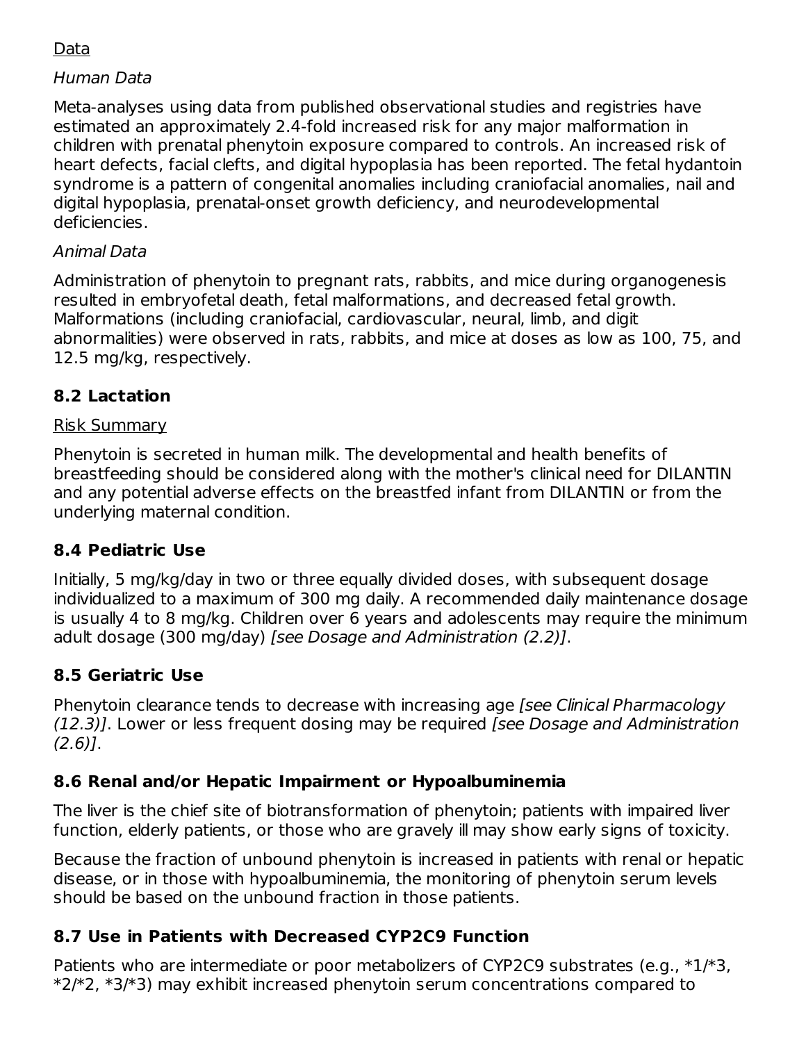### Data

#### Human Data

Meta-analyses using data from published observational studies and registries have estimated an approximately 2.4-fold increased risk for any major malformation in children with prenatal phenytoin exposure compared to controls. An increased risk of heart defects, facial clefts, and digital hypoplasia has been reported. The fetal hydantoin syndrome is a pattern of congenital anomalies including craniofacial anomalies, nail and digital hypoplasia, prenatal-onset growth deficiency, and neurodevelopmental deficiencies.

#### Animal Data

Administration of phenytoin to pregnant rats, rabbits, and mice during organogenesis resulted in embryofetal death, fetal malformations, and decreased fetal growth. Malformations (including craniofacial, cardiovascular, neural, limb, and digit abnormalities) were observed in rats, rabbits, and mice at doses as low as 100, 75, and 12.5 mg/kg, respectively.

### **8.2 Lactation**

#### Risk Summary

Phenytoin is secreted in human milk. The developmental and health benefits of breastfeeding should be considered along with the mother's clinical need for DILANTIN and any potential adverse effects on the breastfed infant from DILANTIN or from the underlying maternal condition.

### **8.4 Pediatric Use**

Initially, 5 mg/kg/day in two or three equally divided doses, with subsequent dosage individualized to a maximum of 300 mg daily. A recommended daily maintenance dosage is usually 4 to 8 mg/kg. Children over 6 years and adolescents may require the minimum adult dosage (300 mg/day) [see Dosage and Administration (2.2)].

### **8.5 Geriatric Use**

Phenytoin clearance tends to decrease with increasing age [see Clinical Pharmacology (12.3)]. Lower or less frequent dosing may be required [see Dosage and Administration  $(2.6)$ ].

### **8.6 Renal and/or Hepatic Impairment or Hypoalbuminemia**

The liver is the chief site of biotransformation of phenytoin; patients with impaired liver function, elderly patients, or those who are gravely ill may show early signs of toxicity.

Because the fraction of unbound phenytoin is increased in patients with renal or hepatic disease, or in those with hypoalbuminemia, the monitoring of phenytoin serum levels should be based on the unbound fraction in those patients.

## **8.7 Use in Patients with Decreased CYP2C9 Function**

Patients who are intermediate or poor metabolizers of CYP2C9 substrates (e.g.,  $*1/*3$ , \*2/\*2, \*3/\*3) may exhibit increased phenytoin serum concentrations compared to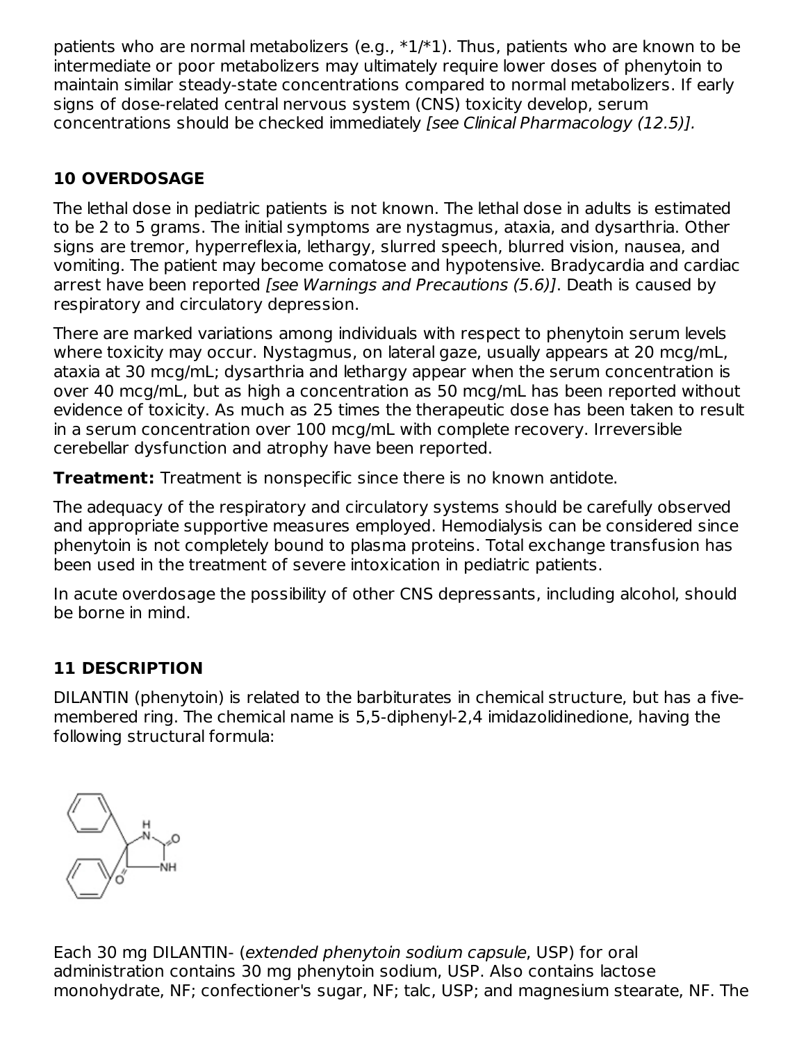patients who are normal metabolizers (e.g.,  $*1/*1$ ). Thus, patients who are known to be intermediate or poor metabolizers may ultimately require lower doses of phenytoin to maintain similar steady-state concentrations compared to normal metabolizers. If early signs of dose-related central nervous system (CNS) toxicity develop, serum concentrations should be checked immediately [see Clinical Pharmacology (12.5)].

## **10 OVERDOSAGE**

The lethal dose in pediatric patients is not known. The lethal dose in adults is estimated to be 2 to 5 grams. The initial symptoms are nystagmus, ataxia, and dysarthria. Other signs are tremor, hyperreflexia, lethargy, slurred speech, blurred vision, nausea, and vomiting. The patient may become comatose and hypotensive. Bradycardia and cardiac arrest have been reported [see Warnings and Precautions (5.6)]. Death is caused by respiratory and circulatory depression.

There are marked variations among individuals with respect to phenytoin serum levels where toxicity may occur. Nystagmus, on lateral gaze, usually appears at 20 mcg/mL, ataxia at 30 mcg/mL; dysarthria and lethargy appear when the serum concentration is over 40 mcg/mL, but as high a concentration as 50 mcg/mL has been reported without evidence of toxicity. As much as 25 times the therapeutic dose has been taken to result in a serum concentration over 100 mcg/mL with complete recovery. Irreversible cerebellar dysfunction and atrophy have been reported.

**Treatment:** Treatment is nonspecific since there is no known antidote.

The adequacy of the respiratory and circulatory systems should be carefully observed and appropriate supportive measures employed. Hemodialysis can be considered since phenytoin is not completely bound to plasma proteins. Total exchange transfusion has been used in the treatment of severe intoxication in pediatric patients.

In acute overdosage the possibility of other CNS depressants, including alcohol, should be borne in mind.

## **11 DESCRIPTION**

DILANTIN (phenytoin) is related to the barbiturates in chemical structure, but has a fivemembered ring. The chemical name is 5,5-diphenyl-2,4 imidazolidinedione, having the following structural formula:



Each 30 mg DILANTIN- (extended phenytoin sodium capsule, USP) for oral administration contains 30 mg phenytoin sodium, USP. Also contains lactose monohydrate, NF; confectioner's sugar, NF; talc, USP; and magnesium stearate, NF. The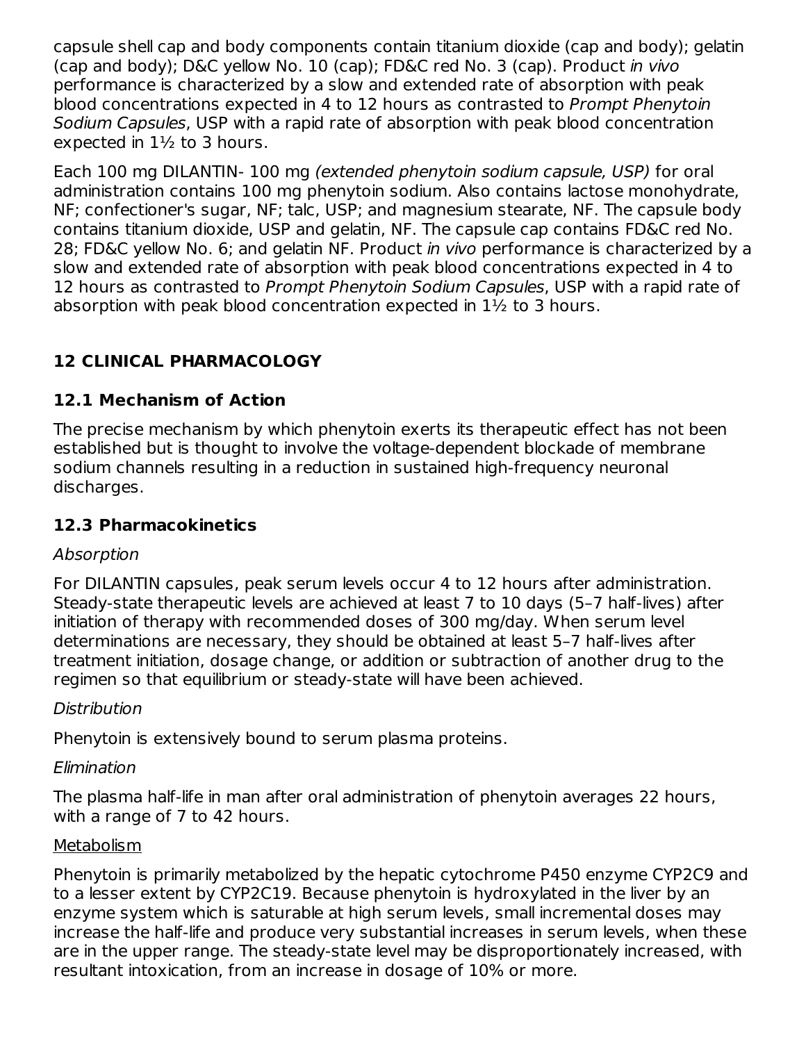capsule shell cap and body components contain titanium dioxide (cap and body); gelatin (cap and body); D&C yellow No. 10 (cap); FD&C red No. 3 (cap). Product in vivo performance is characterized by a slow and extended rate of absorption with peak blood concentrations expected in 4 to 12 hours as contrasted to Prompt Phenytoin Sodium Capsules, USP with a rapid rate of absorption with peak blood concentration expected in 1½ to 3 hours.

Each 100 mg DILANTIN- 100 mg (extended phenytoin sodium capsule, USP) for oral administration contains 100 mg phenytoin sodium. Also contains lactose monohydrate, NF; confectioner's sugar, NF; talc, USP; and magnesium stearate, NF. The capsule body contains titanium dioxide, USP and gelatin, NF. The capsule cap contains FD&C red No. 28; FD&C yellow No. 6; and gelatin NF. Product *in vivo* performance is characterized by a slow and extended rate of absorption with peak blood concentrations expected in 4 to 12 hours as contrasted to Prompt Phenytoin Sodium Capsules, USP with a rapid rate of absorption with peak blood concentration expected in 1½ to 3 hours.

### **12 CLINICAL PHARMACOLOGY**

### **12.1 Mechanism of Action**

The precise mechanism by which phenytoin exerts its therapeutic effect has not been established but is thought to involve the voltage-dependent blockade of membrane sodium channels resulting in a reduction in sustained high-frequency neuronal discharges.

### **12.3 Pharmacokinetics**

#### Absorption

For DILANTIN capsules, peak serum levels occur 4 to 12 hours after administration. Steady-state therapeutic levels are achieved at least 7 to 10 days (5–7 half-lives) after initiation of therapy with recommended doses of 300 mg/day. When serum level determinations are necessary, they should be obtained at least 5–7 half-lives after treatment initiation, dosage change, or addition or subtraction of another drug to the regimen so that equilibrium or steady-state will have been achieved.

#### **Distribution**

Phenytoin is extensively bound to serum plasma proteins.

### Elimination

The plasma half-life in man after oral administration of phenytoin averages 22 hours, with a range of 7 to 42 hours.

### Metabolism

Phenytoin is primarily metabolized by the hepatic cytochrome P450 enzyme CYP2C9 and to a lesser extent by CYP2C19. Because phenytoin is hydroxylated in the liver by an enzyme system which is saturable at high serum levels, small incremental doses may increase the half-life and produce very substantial increases in serum levels, when these are in the upper range. The steady-state level may be disproportionately increased, with resultant intoxication, from an increase in dosage of 10% or more.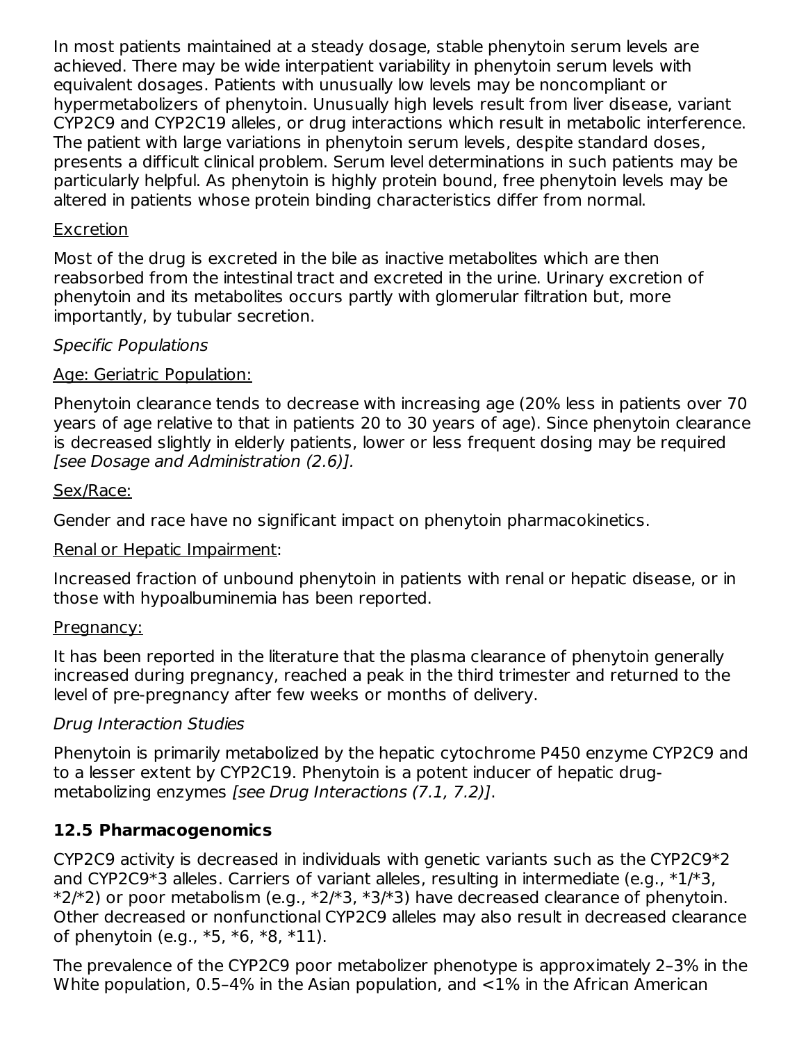In most patients maintained at a steady dosage, stable phenytoin serum levels are achieved. There may be wide interpatient variability in phenytoin serum levels with equivalent dosages. Patients with unusually low levels may be noncompliant or hypermetabolizers of phenytoin. Unusually high levels result from liver disease, variant CYP2C9 and CYP2C19 alleles, or drug interactions which result in metabolic interference. The patient with large variations in phenytoin serum levels, despite standard doses, presents a difficult clinical problem. Serum level determinations in such patients may be particularly helpful. As phenytoin is highly protein bound, free phenytoin levels may be altered in patients whose protein binding characteristics differ from normal.

#### Excretion

Most of the drug is excreted in the bile as inactive metabolites which are then reabsorbed from the intestinal tract and excreted in the urine. Urinary excretion of phenytoin and its metabolites occurs partly with glomerular filtration but, more importantly, by tubular secretion.

#### Specific Populations

#### Age: Geriatric Population:

Phenytoin clearance tends to decrease with increasing age (20% less in patients over 70 years of age relative to that in patients 20 to 30 years of age). Since phenytoin clearance is decreased slightly in elderly patients, lower or less frequent dosing may be required [see Dosage and Administration (2.6)].

#### Sex/Race:

Gender and race have no significant impact on phenytoin pharmacokinetics.

#### Renal or Hepatic Impairment:

Increased fraction of unbound phenytoin in patients with renal or hepatic disease, or in those with hypoalbuminemia has been reported.

#### Pregnancy:

It has been reported in the literature that the plasma clearance of phenytoin generally increased during pregnancy, reached a peak in the third trimester and returned to the level of pre-pregnancy after few weeks or months of delivery.

#### Drug Interaction Studies

Phenytoin is primarily metabolized by the hepatic cytochrome P450 enzyme CYP2C9 and to a lesser extent by CYP2C19. Phenytoin is a potent inducer of hepatic drugmetabolizing enzymes [see Drug Interactions (7.1, 7.2)].

### **12.5 Pharmacogenomics**

CYP2C9 activity is decreased in individuals with genetic variants such as the CYP2C9\*2 and CYP2C9\*3 alleles. Carriers of variant alleles, resulting in intermediate (e.g., \*1/\*3,  $*2/*2$ ) or poor metabolism (e.g.,  $*2/*3$ ,  $*3/*3$ ) have decreased clearance of phenytoin. Other decreased or nonfunctional CYP2C9 alleles may also result in decreased clearance of phenytoin (e.g., \*5, \*6, \*8, \*11).

The prevalence of the CYP2C9 poor metabolizer phenotype is approximately 2–3% in the White population, 0.5–4% in the Asian population, and <1% in the African American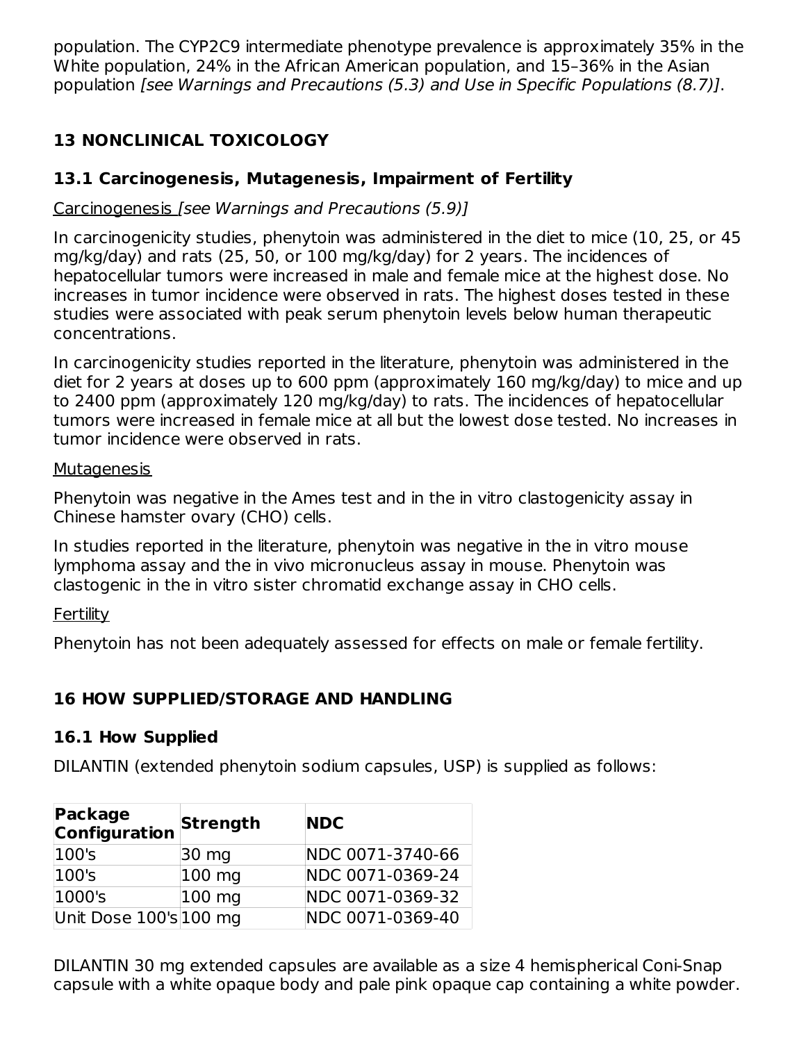population. The CYP2C9 intermediate phenotype prevalence is approximately 35% in the White population, 24% in the African American population, and 15–36% in the Asian population [see Warnings and Precautions (5.3) and Use in Specific Populations (8.7)].

# **13 NONCLINICAL TOXICOLOGY**

## **13.1 Carcinogenesis, Mutagenesis, Impairment of Fertility**

## Carcinogenesis [see Warnings and Precautions (5.9)]

In carcinogenicity studies, phenytoin was administered in the diet to mice (10, 25, or 45 mg/kg/day) and rats (25, 50, or 100 mg/kg/day) for 2 years. The incidences of hepatocellular tumors were increased in male and female mice at the highest dose. No increases in tumor incidence were observed in rats. The highest doses tested in these studies were associated with peak serum phenytoin levels below human therapeutic concentrations.

In carcinogenicity studies reported in the literature, phenytoin was administered in the diet for 2 years at doses up to 600 ppm (approximately 160 mg/kg/day) to mice and up to 2400 ppm (approximately 120 mg/kg/day) to rats. The incidences of hepatocellular tumors were increased in female mice at all but the lowest dose tested. No increases in tumor incidence were observed in rats.

### Mutagenesis

Phenytoin was negative in the Ames test and in the in vitro clastogenicity assay in Chinese hamster ovary (CHO) cells.

In studies reported in the literature, phenytoin was negative in the in vitro mouse lymphoma assay and the in vivo micronucleus assay in mouse. Phenytoin was clastogenic in the in vitro sister chromatid exchange assay in CHO cells.

### **Fertility**

Phenytoin has not been adequately assessed for effects on male or female fertility.

# **16 HOW SUPPLIED/STORAGE AND HANDLING**

## **16.1 How Supplied**

DILANTIN (extended phenytoin sodium capsules, USP) is supplied as follows:

| Package<br><b>Configuration</b> | Strength         | <b>NDC</b>       |
|---------------------------------|------------------|------------------|
| $ 100$ 's                       | $ 30 \rangle$ mg | NDC 0071-3740-66 |
| 100's                           | 100 mg           | NDC 0071-0369-24 |
| 1000's                          | 100 mg           | NDC 0071-0369-32 |
| Unit Dose 100's 100 mg          |                  | NDC 0071-0369-40 |

DILANTIN 30 mg extended capsules are available as a size 4 hemispherical Coni-Snap capsule with a white opaque body and pale pink opaque cap containing a white powder.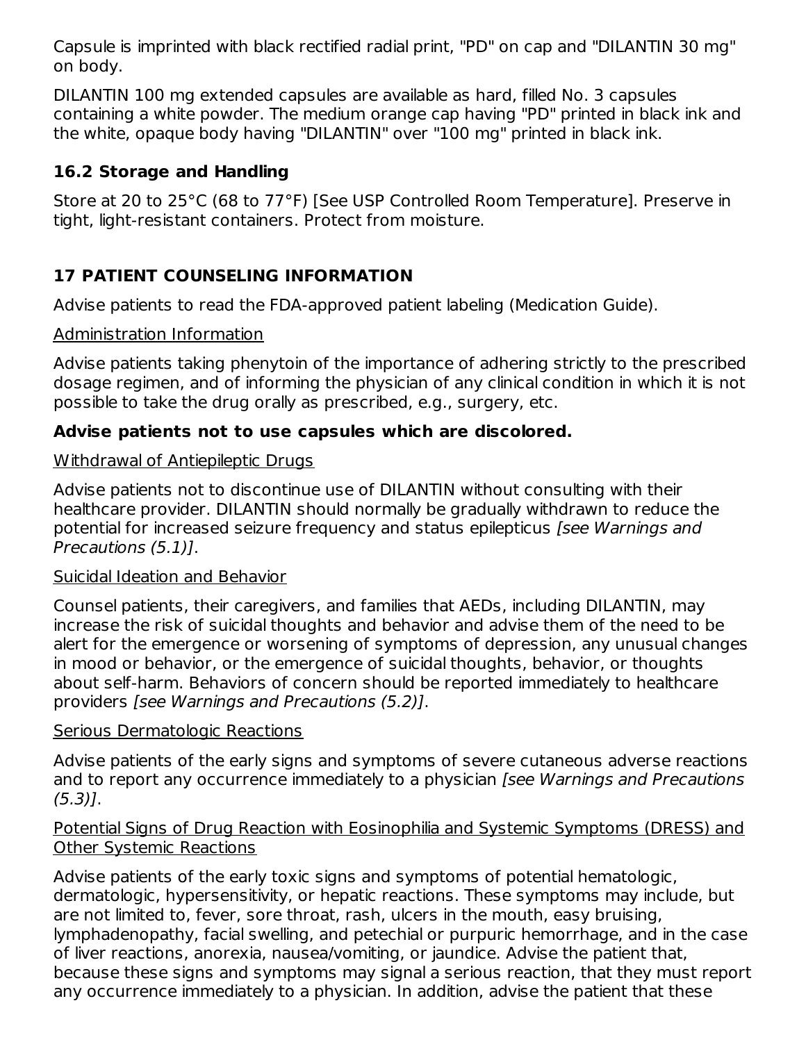Capsule is imprinted with black rectified radial print, "PD" on cap and "DILANTIN 30 mg" on body.

DILANTIN 100 mg extended capsules are available as hard, filled No. 3 capsules containing a white powder. The medium orange cap having "PD" printed in black ink and the white, opaque body having "DILANTIN" over "100 mg" printed in black ink.

## **16.2 Storage and Handling**

Store at 20 to 25°C (68 to 77°F) [See USP Controlled Room Temperature]. Preserve in tight, light-resistant containers. Protect from moisture.

## **17 PATIENT COUNSELING INFORMATION**

Advise patients to read the FDA-approved patient labeling (Medication Guide).

#### Administration Information

Advise patients taking phenytoin of the importance of adhering strictly to the prescribed dosage regimen, and of informing the physician of any clinical condition in which it is not possible to take the drug orally as prescribed, e.g., surgery, etc.

### **Advise patients not to use capsules which are discolored.**

#### Withdrawal of Antiepileptic Drugs

Advise patients not to discontinue use of DILANTIN without consulting with their healthcare provider. DILANTIN should normally be gradually withdrawn to reduce the potential for increased seizure frequency and status epilepticus [see Warnings and Precautions (5.1)].

#### Suicidal Ideation and Behavior

Counsel patients, their caregivers, and families that AEDs, including DILANTIN, may increase the risk of suicidal thoughts and behavior and advise them of the need to be alert for the emergence or worsening of symptoms of depression, any unusual changes in mood or behavior, or the emergence of suicidal thoughts, behavior, or thoughts about self-harm. Behaviors of concern should be reported immediately to healthcare providers [see Warnings and Precautions (5.2)].

#### Serious Dermatologic Reactions

Advise patients of the early signs and symptoms of severe cutaneous adverse reactions and to report any occurrence immediately to a physician *[see Warnings and Precautions* (5.3)].

#### Potential Signs of Drug Reaction with Eosinophilia and Systemic Symptoms (DRESS) and Other Systemic Reactions

Advise patients of the early toxic signs and symptoms of potential hematologic, dermatologic, hypersensitivity, or hepatic reactions. These symptoms may include, but are not limited to, fever, sore throat, rash, ulcers in the mouth, easy bruising, lymphadenopathy, facial swelling, and petechial or purpuric hemorrhage, and in the case of liver reactions, anorexia, nausea/vomiting, or jaundice. Advise the patient that, because these signs and symptoms may signal a serious reaction, that they must report any occurrence immediately to a physician. In addition, advise the patient that these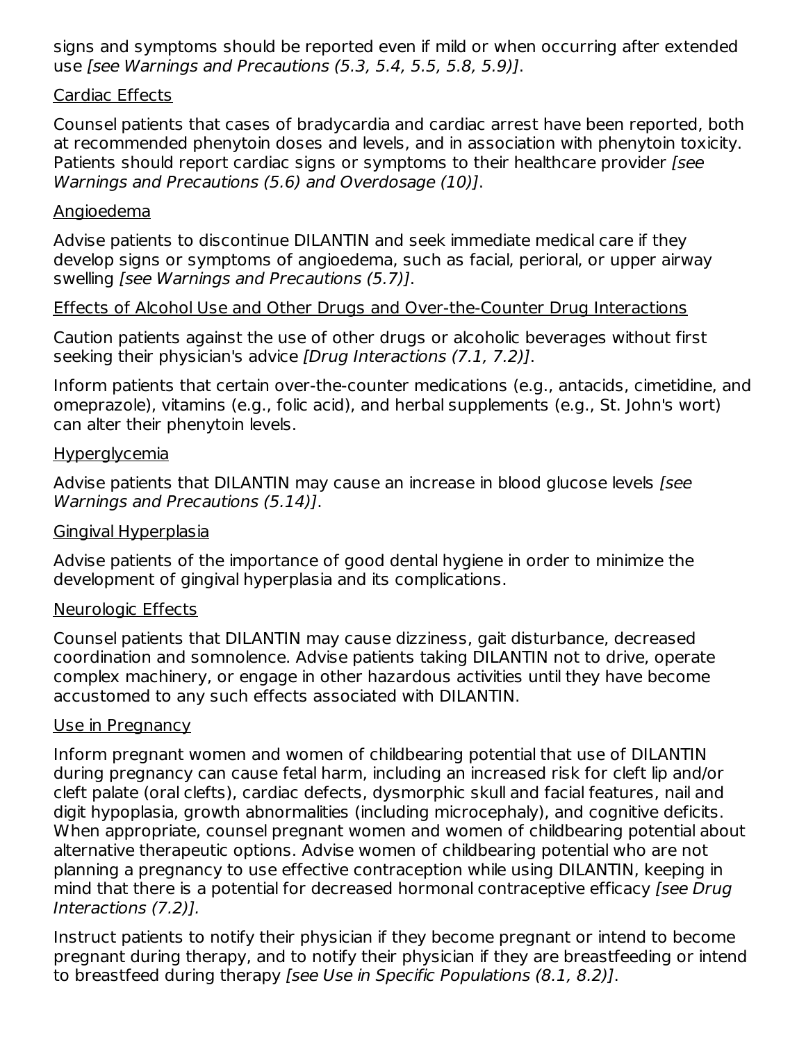signs and symptoms should be reported even if mild or when occurring after extended use [see Warnings and Precautions (5.3, 5.4, 5.5, 5.8, 5.9)].

#### Cardiac Effects

Counsel patients that cases of bradycardia and cardiac arrest have been reported, both at recommended phenytoin doses and levels, and in association with phenytoin toxicity. Patients should report cardiac signs or symptoms to their healthcare provider [see Warnings and Precautions (5.6) and Overdosage (10)].

#### Angioedema

Advise patients to discontinue DILANTIN and seek immediate medical care if they develop signs or symptoms of angioedema, such as facial, perioral, or upper airway swelling [see Warnings and Precautions (5.7)].

#### Effects of Alcohol Use and Other Drugs and Over-the-Counter Drug Interactions

Caution patients against the use of other drugs or alcoholic beverages without first seeking their physician's advice *[Drug Interactions (7.1, 7.2)]*.

Inform patients that certain over-the-counter medications (e.g., antacids, cimetidine, and omeprazole), vitamins (e.g., folic acid), and herbal supplements (e.g., St. John's wort) can alter their phenytoin levels.

#### Hyperglycemia

Advise patients that DILANTIN may cause an increase in blood glucose levels [see Warnings and Precautions (5.14)].

#### Gingival Hyperplasia

Advise patients of the importance of good dental hygiene in order to minimize the development of gingival hyperplasia and its complications.

#### Neurologic Effects

Counsel patients that DILANTIN may cause dizziness, gait disturbance, decreased coordination and somnolence. Advise patients taking DILANTIN not to drive, operate complex machinery, or engage in other hazardous activities until they have become accustomed to any such effects associated with DILANTIN.

#### Use in Pregnancy

Inform pregnant women and women of childbearing potential that use of DILANTIN during pregnancy can cause fetal harm, including an increased risk for cleft lip and/or cleft palate (oral clefts), cardiac defects, dysmorphic skull and facial features, nail and digit hypoplasia, growth abnormalities (including microcephaly), and cognitive deficits. When appropriate, counsel pregnant women and women of childbearing potential about alternative therapeutic options. Advise women of childbearing potential who are not planning a pregnancy to use effective contraception while using DILANTIN, keeping in mind that there is a potential for decreased hormonal contraceptive efficacy [see Drug] Interactions (7.2)].

Instruct patients to notify their physician if they become pregnant or intend to become pregnant during therapy, and to notify their physician if they are breastfeeding or intend to breastfeed during therapy [see Use in Specific Populations (8.1, 8.2)].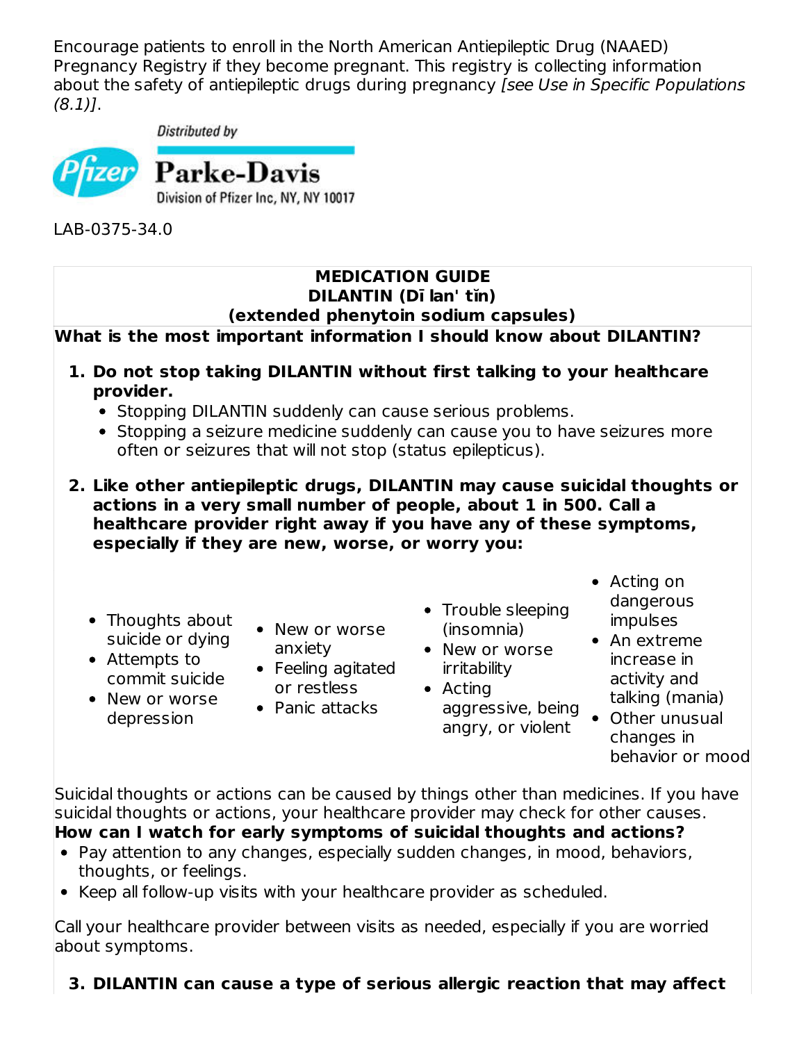Encourage patients to enroll in the North American Antiepileptic Drug (NAAED) Pregnancy Registry if they become pregnant. This registry is collecting information about the safety of antiepileptic drugs during pregnancy [see Use in Specific Populations (8.1)].

Distributed by



LAB-0375-34.0

#### **MEDICATION GUIDE DILANTIN (Dī lan' tĭn) (extended phenytoin sodium capsules)**

### **What is the most important information I should know about DILANTIN?**

- **1. Do not stop taking DILANTIN without first talking to your healthcare provider.**
	- Stopping DILANTIN suddenly can cause serious problems.
	- Stopping a seizure medicine suddenly can cause you to have seizures more often or seizures that will not stop (status epilepticus).
- **2. Like other antiepileptic drugs, DILANTIN may cause suicidal thoughts or actions in a very small number of people, about 1 in 500. Call a healthcare provider right away if you have any of these symptoms, especially if they are new, worse, or worry you:**
	- Thoughts about suicide or dying
	- Attempts to commit suicide
	- New or worse depression
- New or worse anxiety
- Feeling agitated or restless
- Panic attacks
- Trouble sleeping (insomnia)
- New or worse irritability
- Actina aggressive, being angry, or violent
- Acting on dangerous impulses
- An extreme increase in activity and talking (mania)
- Other unusual changes in behavior or mood

Suicidal thoughts or actions can be caused by things other than medicines. If you have suicidal thoughts or actions, your healthcare provider may check for other causes. **How can I watch for early symptoms of suicidal thoughts and actions?**

- Pay attention to any changes, especially sudden changes, in mood, behaviors, thoughts, or feelings.
- Keep all follow-up visits with your healthcare provider as scheduled.

Call your healthcare provider between visits as needed, especially if you are worried about symptoms.

## **3. DILANTIN can cause a type of serious allergic reaction that may affect**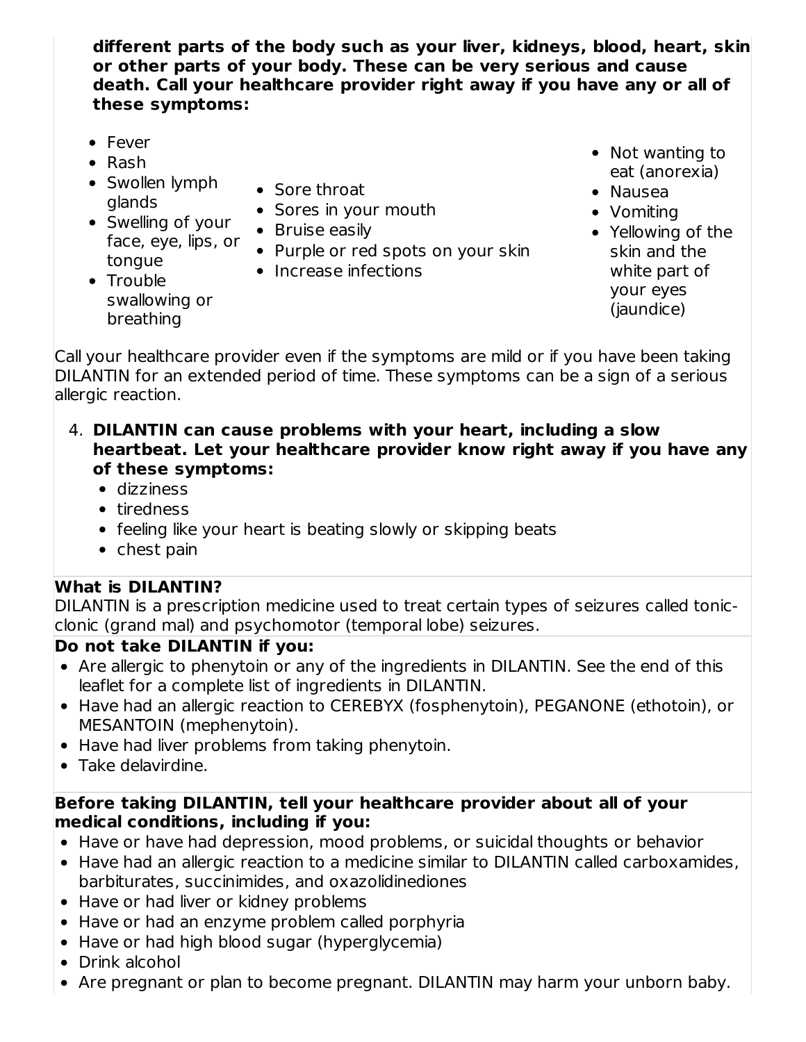**different parts of the body such as your liver, kidneys, blood, heart, skin or other parts of your body. These can be very serious and cause death. Call your healthcare provider right away if you have any or all of these symptoms:**

- Fever
- $\bullet$  Rash

• Trouble

- Swollen lymph glands
- Swelling of your face, eye, lips, or tongue
- Sore throat
- Sores in your mouth
- Bruise easily
- Purple or red spots on your skin
- Increase infections
- Not wanting to eat (anorexia)
- Nausea
- Vomiting
- Yellowing of the skin and the white part of your eyes (jaundice)

swallowing or breathing

Call your healthcare provider even if the symptoms are mild or if you have been taking DILANTIN for an extended period of time. These symptoms can be a sign of a serious allergic reaction.

- 4. **DILANTIN can cause problems with your heart, including a slow heartbeat. Let your healthcare provider know right away if you have any of these symptoms:**
	- dizziness
	- tiredness
	- feeling like your heart is beating slowly or skipping beats
	- chest pain

### **What is DILANTIN?**

DILANTIN is a prescription medicine used to treat certain types of seizures called tonicclonic (grand mal) and psychomotor (temporal lobe) seizures.

# **Do not take DILANTIN if you:**

- Are allergic to phenytoin or any of the ingredients in DILANTIN. See the end of this leaflet for a complete list of ingredients in DILANTIN.
- Have had an allergic reaction to CEREBYX (fosphenytoin), PEGANONE (ethotoin), or MESANTOIN (mephenytoin).
- Have had liver problems from taking phenytoin.
- Take delavirdine.

#### **Before taking DILANTIN, tell your healthcare provider about all of your medical conditions, including if you:**

- Have or have had depression, mood problems, or suicidal thoughts or behavior
- Have had an allergic reaction to a medicine similar to DILANTIN called carboxamides, barbiturates, succinimides, and oxazolidinediones
- Have or had liver or kidney problems
- Have or had an enzyme problem called porphyria
- Have or had high blood sugar (hyperglycemia)
- Drink alcohol
- Are pregnant or plan to become pregnant. DILANTIN may harm your unborn baby.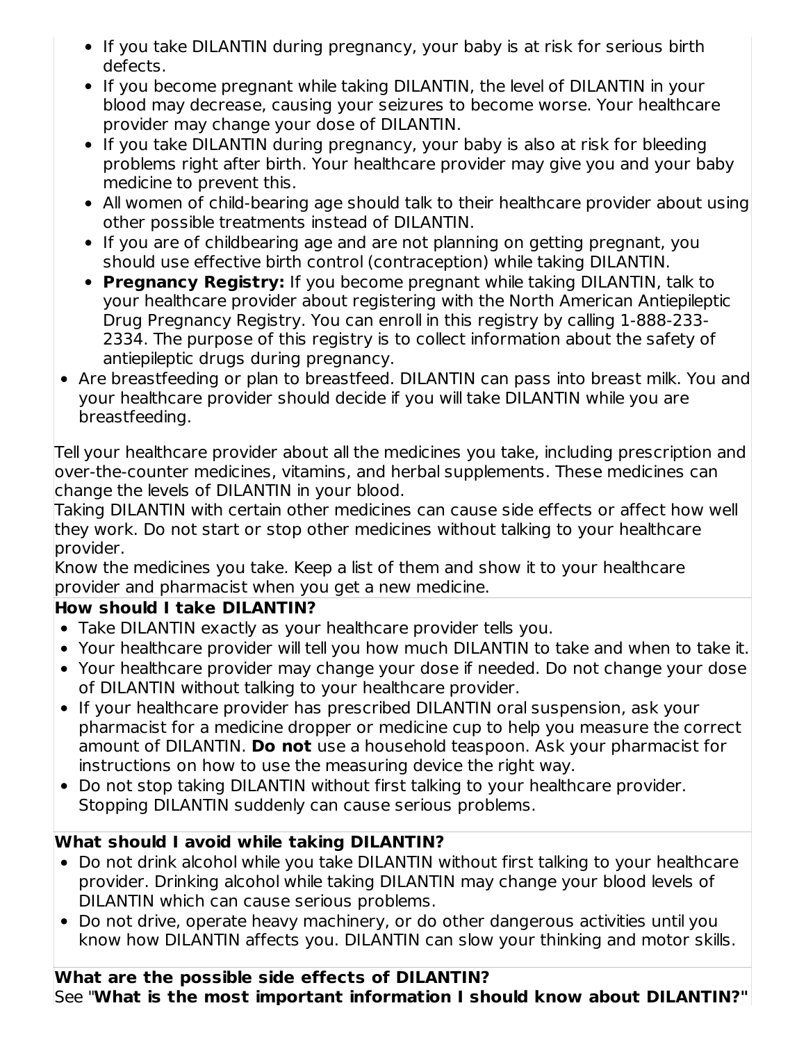- If you take DILANTIN during pregnancy, your baby is at risk for serious birth defects.
- If you become pregnant while taking DILANTIN, the level of DILANTIN in your blood may decrease, causing your seizures to become worse. Your healthcare provider may change your dose of DILANTIN.
- If you take DILANTIN during pregnancy, your baby is also at risk for bleeding problems right after birth. Your healthcare provider may give you and your baby medicine to prevent this.
- All women of child-bearing age should talk to their healthcare provider about using other possible treatments instead of DILANTIN.
- If you are of childbearing age and are not planning on getting pregnant, you should use effective birth control (contraception) while taking DILANTIN.
- **Pregnancy Registry:** If you become pregnant while taking DILANTIN, talk to your healthcare provider about registering with the North American Antiepileptic Drug Pregnancy Registry. You can enroll in this registry by calling 1-888-233- 2334. The purpose of this registry is to collect information about the safety of antiepileptic drugs during pregnancy.
- Are breastfeeding or plan to breastfeed. DILANTIN can pass into breast milk. You and your healthcare provider should decide if you will take DILANTIN while you are breastfeeding.

Tell your healthcare provider about all the medicines you take, including prescription and over-the-counter medicines, vitamins, and herbal supplements. These medicines can change the levels of DILANTIN in your blood.

Taking DILANTIN with certain other medicines can cause side effects or affect how well they work. Do not start or stop other medicines without talking to your healthcare provider.

Know the medicines you take. Keep a list of them and show it to your healthcare provider and pharmacist when you get a new medicine.

# **How should I take DILANTIN?**

- Take DILANTIN exactly as your healthcare provider tells you.
- Your healthcare provider will tell you how much DILANTIN to take and when to take it.
- Your healthcare provider may change your dose if needed. Do not change your dose of DILANTIN without talking to your healthcare provider.
- If your healthcare provider has prescribed DILANTIN oral suspension, ask your pharmacist for a medicine dropper or medicine cup to help you measure the correct amount of DILANTIN. **Do not** use a household teaspoon. Ask your pharmacist for instructions on how to use the measuring device the right way.
- Do not stop taking DILANTIN without first talking to your healthcare provider. Stopping DILANTIN suddenly can cause serious problems.

## **What should I avoid while taking DILANTIN?**

- Do not drink alcohol while you take DILANTIN without first talking to your healthcare provider. Drinking alcohol while taking DILANTIN may change your blood levels of DILANTIN which can cause serious problems.
- Do not drive, operate heavy machinery, or do other dangerous activities until you know how DILANTIN affects you. DILANTIN can slow your thinking and motor skills.

#### **What are the possible side effects of DILANTIN?** See "**What is the most important information I should know about DILANTIN?"**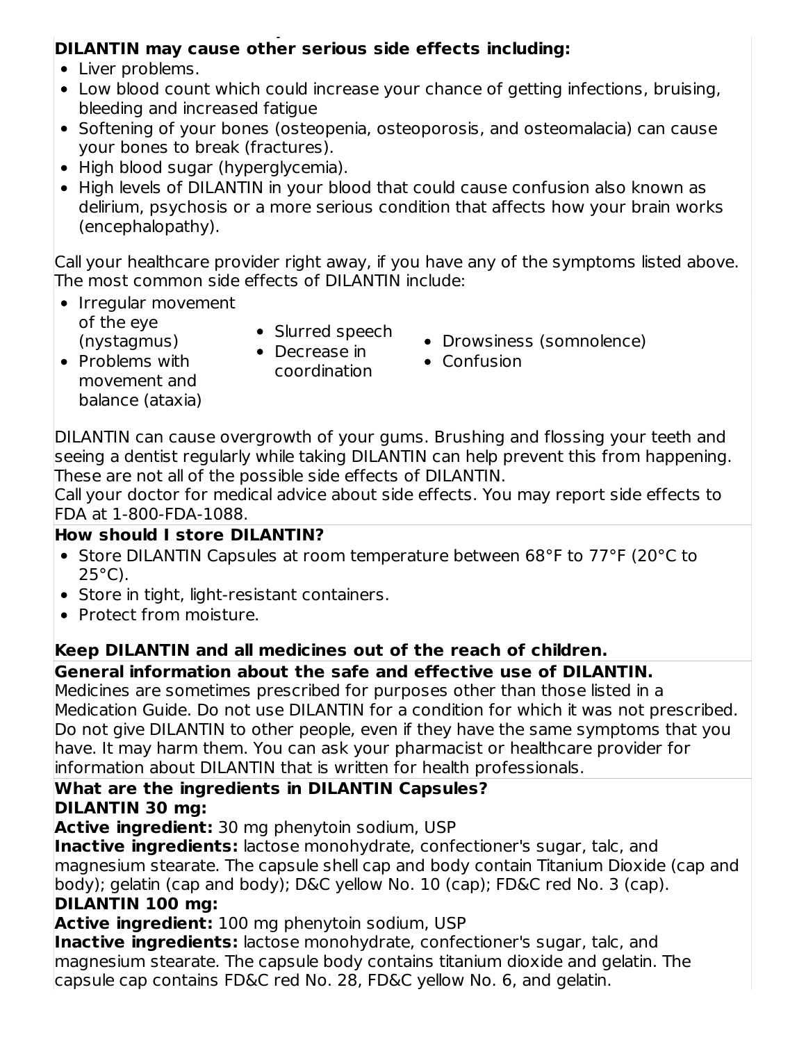#### See "**What is the most important information I should know about DILANTIN?" DILANTIN may cause other serious side effects including:**

- Liver problems.
- Low blood count which could increase your chance of getting infections, bruising, bleeding and increased fatigue
- Softening of your bones (osteopenia, osteoporosis, and osteomalacia) can cause your bones to break (fractures).
- High blood sugar (hyperglycemia).
- High levels of DILANTIN in your blood that could cause confusion also known as delirium, psychosis or a more serious condition that affects how your brain works (encephalopathy).

Call your healthcare provider right away, if you have any of the symptoms listed above. The most common side effects of DILANTIN include:

- Irregular movement of the eye (nystagmus)
- Slurred speech
- Problems with movement and balance (ataxia)
- Decrease in coordination
- Drowsiness (somnolence)
- Confusion

DILANTIN can cause overgrowth of your gums. Brushing and flossing your teeth and seeing a dentist regularly while taking DILANTIN can help prevent this from happening. These are not all of the possible side effects of DILANTIN.

Call your doctor for medical advice about side effects. You may report side effects to FDA at 1-800-FDA-1088.

## **How should I store DILANTIN?**

- Store DILANTIN Capsules at room temperature between 68°F to 77°F (20°C to  $25^{\circ}$ C).
- Store in tight, light-resistant containers.
- Protect from moisture.

# **Keep DILANTIN and all medicines out of the reach of children.**

# **General information about the safe and effective use of DILANTIN.**

Medicines are sometimes prescribed for purposes other than those listed in a Medication Guide. Do not use DILANTIN for a condition for which it was not prescribed. Do not give DILANTIN to other people, even if they have the same symptoms that you have. It may harm them. You can ask your pharmacist or healthcare provider for information about DILANTIN that is written for health professionals.

#### **What are the ingredients in DILANTIN Capsules? DILANTIN 30 mg:**

**Active ingredient:** 30 mg phenytoin sodium, USP

**Inactive ingredients:** lactose monohydrate, confectioner's sugar, talc, and magnesium stearate. The capsule shell cap and body contain Titanium Dioxide (cap and body); gelatin (cap and body); D&C yellow No. 10 (cap); FD&C red No. 3 (cap).

## **DILANTIN 100 mg:**

**Active ingredient:** 100 mg phenytoin sodium, USP

**Inactive ingredients:** lactose monohydrate, confectioner's sugar, talc, and magnesium stearate. The capsule body contains titanium dioxide and gelatin. The capsule cap contains FD&C red No. 28, FD&C yellow No. 6, and gelatin.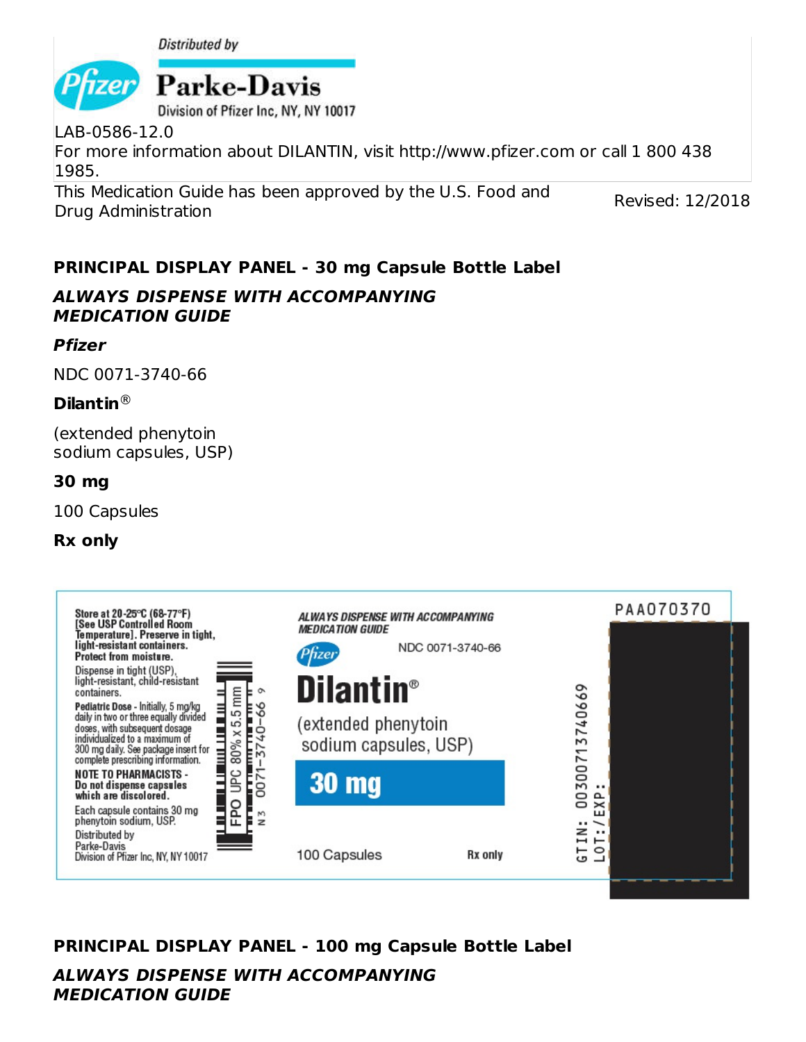



Division of Pfizer Inc. NY, NY 10017

LAB-0586-12.0 For more information about DILANTIN, visit http://www.pfizer.com or call 1 800 438 1985.

This Medication Guide has been approved by the U.S. Food and Drug Administration

Revised: 12/2018

# **PRINCIPAL DISPLAY PANEL - 30 mg Capsule Bottle Label**

### **ALWAYS DISPENSE WITH ACCOMPANYING MEDICATION GUIDE**

### **Pfizer**

NDC 0071-3740-66

### **Dilantin** ®

(extended phenytoin sodium capsules, USP)

### **30 mg**

100 Capsules

### **Rx only**



# **PRINCIPAL DISPLAY PANEL - 100 mg Capsule Bottle Label**

**ALWAYS DISPENSE WITH ACCOMPANYING MEDICATION GUIDE**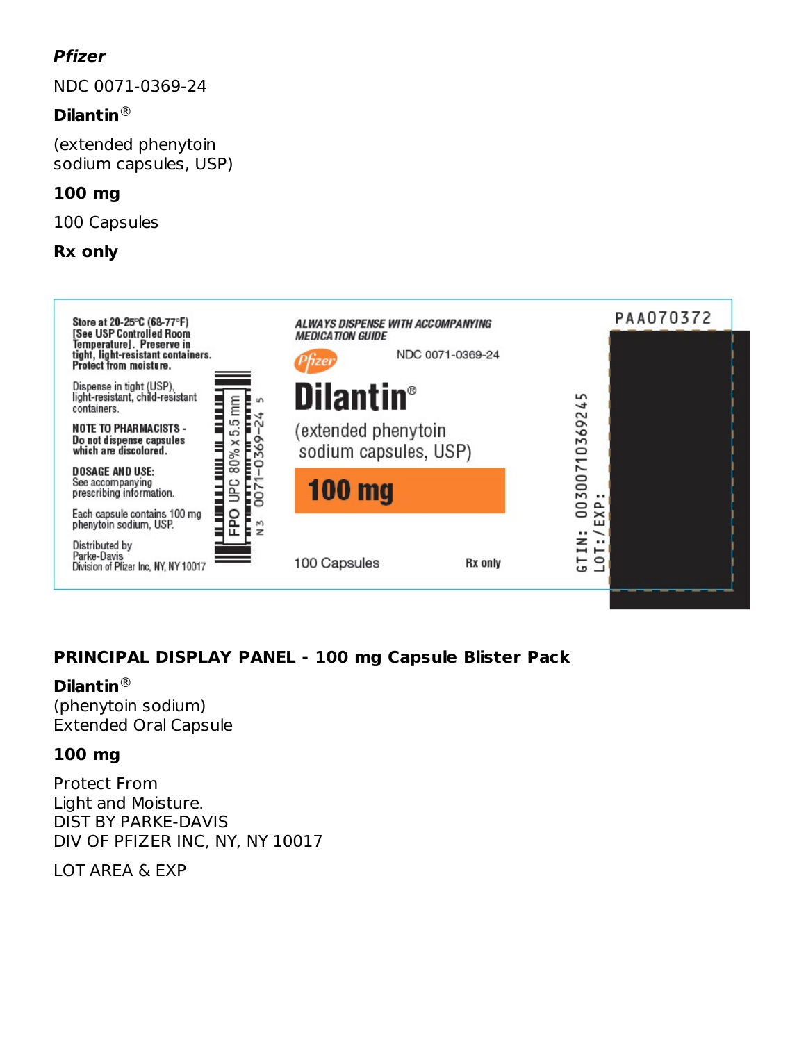## **Pfizer**

NDC 0071-0369-24

### **Dilantin** ®

(extended phenytoin sodium capsules, USP)

#### **100 mg**

100 Capsules

#### **Rx only**



## **PRINCIPAL DISPLAY PANEL - 100 mg Capsule Blister Pack**

#### **Dilantin** ®

(phenytoin sodium) Extended Oral Capsule

#### **100 mg**

Protect From Light and Moisture. DIST BY PARKE-DAVIS DIV OF PFIZER INC, NY, NY 10017

LOT AREA & EXP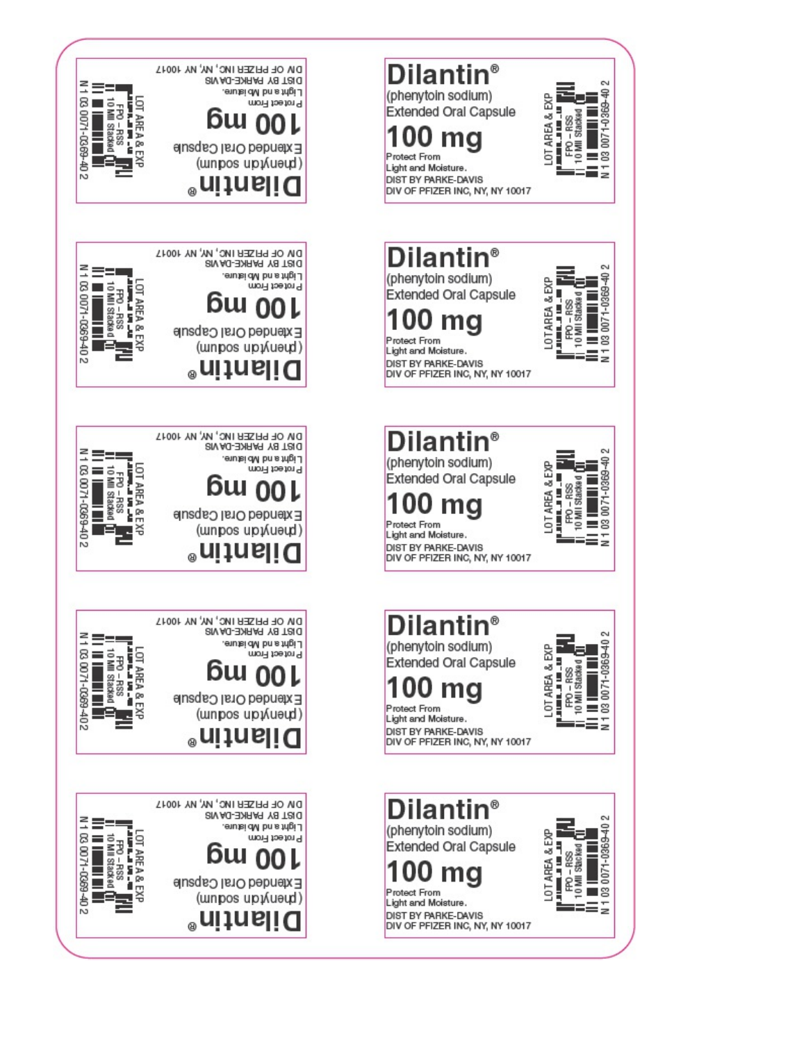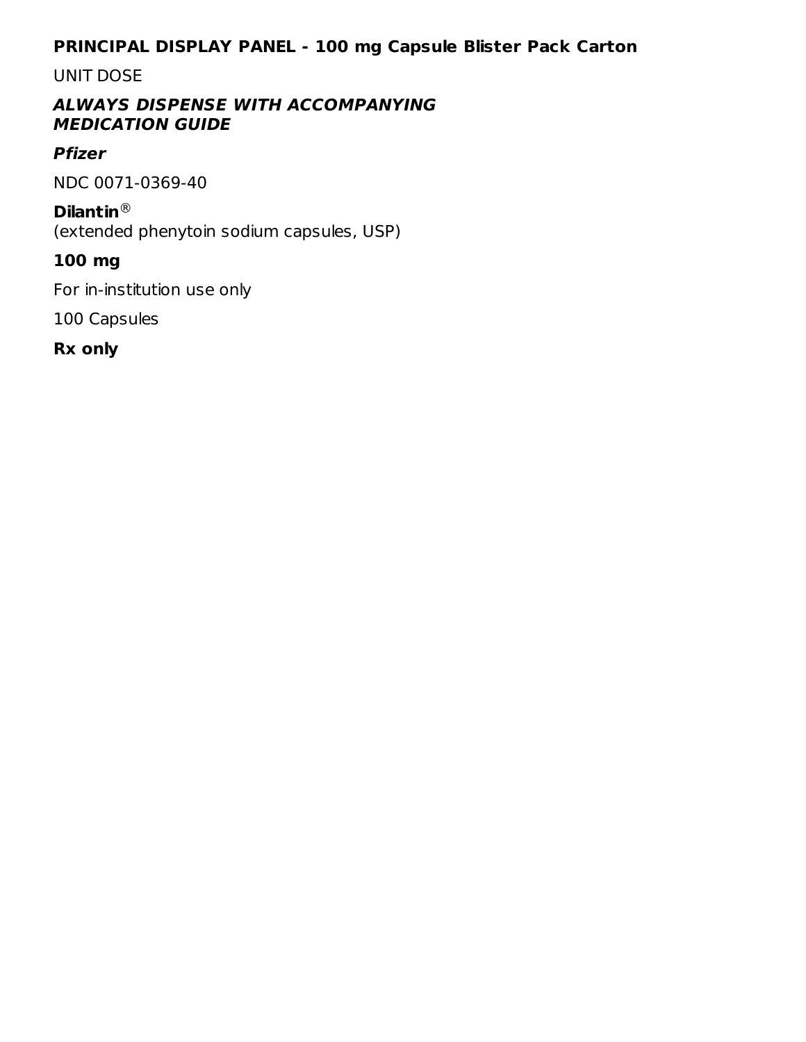### **PRINCIPAL DISPLAY PANEL - 100 mg Capsule Blister Pack Carton**

#### UNIT DOSE

#### **ALWAYS DISPENSE WITH ACCOMPANYING MEDICATION GUIDE**

### **Pfizer**

NDC 0071-0369-40

#### **Dilantin** ®

(extended phenytoin sodium capsules, USP)

### **100 mg**

For in-institution use only

100 Capsules

**Rx only**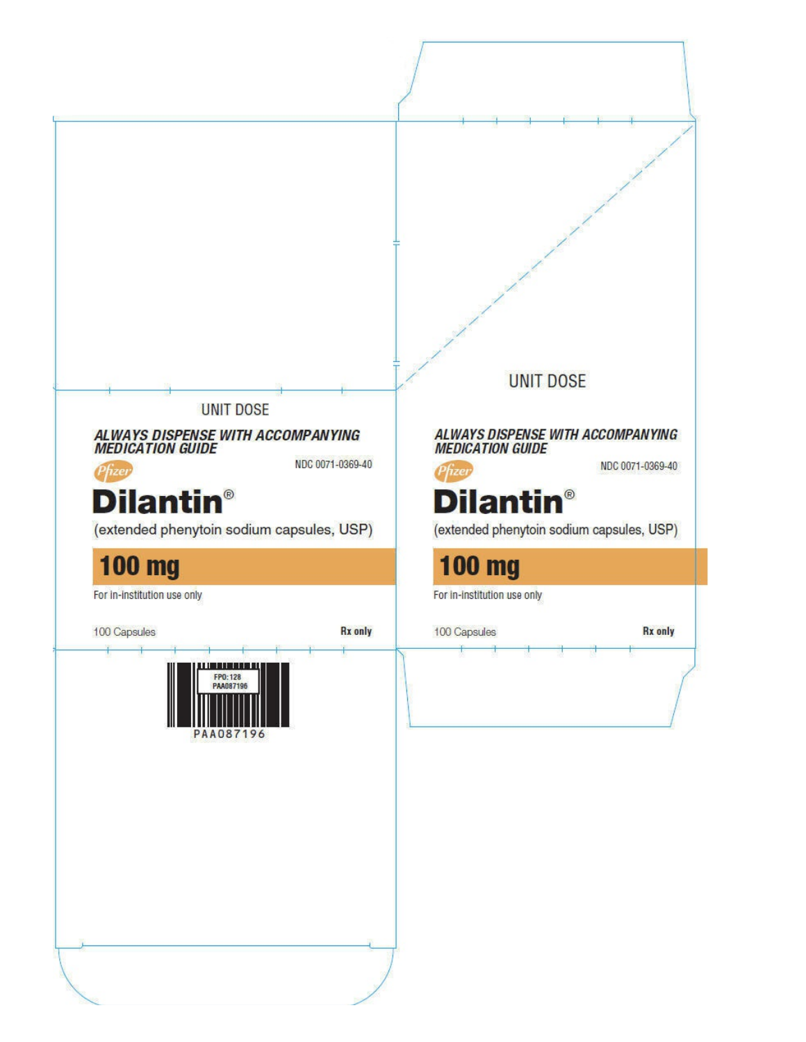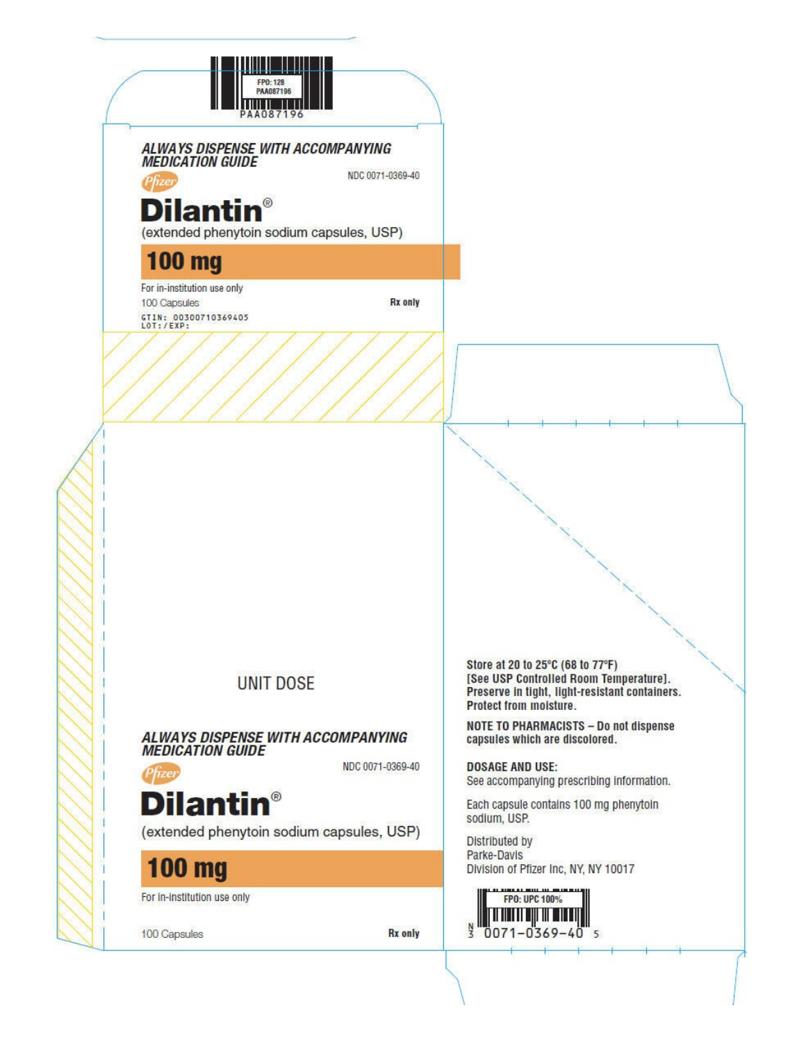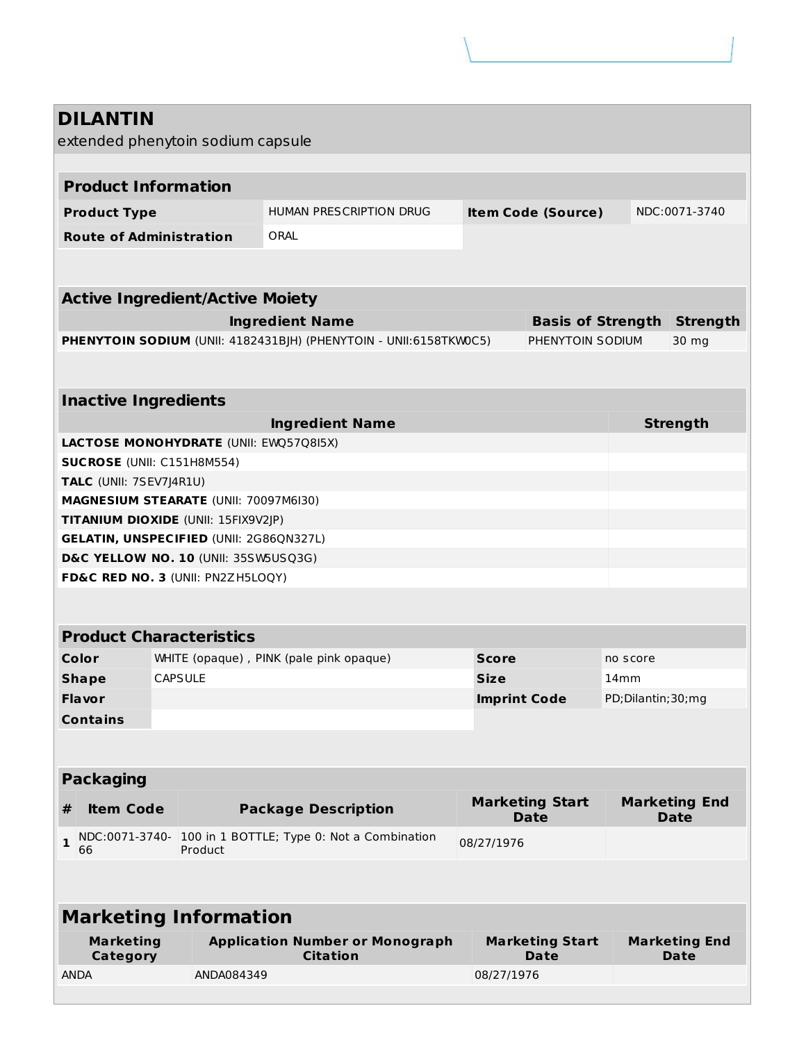|              | <b>DILANTIN</b>                                              |                                                |                                                                   |                                       |                                       |                   |                                     |
|--------------|--------------------------------------------------------------|------------------------------------------------|-------------------------------------------------------------------|---------------------------------------|---------------------------------------|-------------------|-------------------------------------|
|              |                                                              | extended phenytoin sodium capsule              |                                                                   |                                       |                                       |                   |                                     |
|              | <b>Product Information</b>                                   |                                                |                                                                   |                                       |                                       |                   |                                     |
|              |                                                              |                                                |                                                                   |                                       |                                       |                   |                                     |
|              | <b>Product Type</b>                                          |                                                | HUMAN PRESCRIPTION DRUG                                           |                                       | <b>Item Code (Source)</b>             |                   | NDC:0071-3740                       |
|              | <b>Route of Administration</b>                               |                                                | ORAL                                                              |                                       |                                       |                   |                                     |
|              |                                                              |                                                |                                                                   |                                       |                                       |                   |                                     |
|              |                                                              | <b>Active Ingredient/Active Moiety</b>         |                                                                   |                                       |                                       |                   |                                     |
|              |                                                              |                                                | <b>Ingredient Name</b>                                            |                                       | <b>Basis of Strength</b>              |                   | <b>Strength</b>                     |
|              |                                                              |                                                | PHENYTOIN SODIUM (UNII: 4182431BJH) (PHENYTOIN - UNII:6158TKW0C5) |                                       | PHENYTOIN SODIUM                      |                   | 30 mg                               |
|              |                                                              |                                                |                                                                   |                                       |                                       |                   |                                     |
|              | <b>Inactive Ingredients</b>                                  |                                                |                                                                   |                                       |                                       |                   |                                     |
|              |                                                              |                                                | <b>Ingredient Name</b>                                            |                                       |                                       |                   | <b>Strength</b>                     |
|              |                                                              | LACTOSE MONOHYDRATE (UNII: EWQ57Q8I5X)         |                                                                   |                                       |                                       |                   |                                     |
|              | <b>SUCROSE (UNII: C151H8M554)</b><br>TALC (UNII: 7SEV7J4R1U) |                                                |                                                                   |                                       |                                       |                   |                                     |
|              |                                                              | MAGNESIUM STEARATE (UNII: 70097M6I30)          |                                                                   |                                       |                                       |                   |                                     |
|              |                                                              | TITANIUM DIOXIDE (UNII: 15FIX9V2JP)            |                                                                   |                                       |                                       |                   |                                     |
|              |                                                              | <b>GELATIN, UNSPECIFIED (UNII: 2G86QN327L)</b> |                                                                   |                                       |                                       |                   |                                     |
|              |                                                              | D&C YELLOW NO. 10 (UNII: 35SW5USQ3G)           |                                                                   |                                       |                                       |                   |                                     |
|              |                                                              | FD&C RED NO. 3 (UNII: PN2ZH5LOQY)              |                                                                   |                                       |                                       |                   |                                     |
|              |                                                              |                                                |                                                                   |                                       |                                       |                   |                                     |
|              |                                                              | <b>Product Characteristics</b>                 |                                                                   |                                       |                                       |                   |                                     |
|              | Color                                                        |                                                | WHITE (opaque), PINK (pale pink opaque)                           | <b>Score</b>                          |                                       | no score          |                                     |
|              | <b>Shape</b>                                                 | <b>CAPSULE</b>                                 |                                                                   | <b>Size</b>                           |                                       | 14 <sub>mm</sub>  |                                     |
|              | Flavor                                                       |                                                |                                                                   | <b>Imprint Code</b>                   |                                       | PD;Dilantin;30;mg |                                     |
|              | <b>Contains</b>                                              |                                                |                                                                   |                                       |                                       |                   |                                     |
|              |                                                              |                                                |                                                                   |                                       |                                       |                   |                                     |
|              | <b>Packaging</b>                                             |                                                |                                                                   |                                       |                                       |                   |                                     |
| #            | <b>Item Code</b>                                             |                                                | <b>Package Description</b>                                        |                                       | <b>Marketing Start</b><br><b>Date</b> |                   | <b>Marketing End</b><br><b>Date</b> |
| $\mathbf{1}$ | NDC:0071-3740-<br>66                                         | Product                                        | 100 in 1 BOTTLE; Type 0: Not a Combination                        | 08/27/1976                            |                                       |                   |                                     |
|              |                                                              |                                                |                                                                   |                                       |                                       |                   |                                     |
|              |                                                              |                                                |                                                                   |                                       |                                       |                   |                                     |
|              |                                                              | <b>Marketing Information</b>                   |                                                                   |                                       |                                       |                   |                                     |
|              | <b>Marketing</b><br>Category                                 |                                                | <b>Application Number or Monograph</b><br><b>Citation</b>         | <b>Marketing Start</b><br><b>Date</b> |                                       |                   | <b>Marketing End</b><br><b>Date</b> |
| <b>ANDA</b>  |                                                              | ANDA084349                                     |                                                                   | 08/27/1976                            |                                       |                   |                                     |
|              |                                                              |                                                |                                                                   |                                       |                                       |                   |                                     |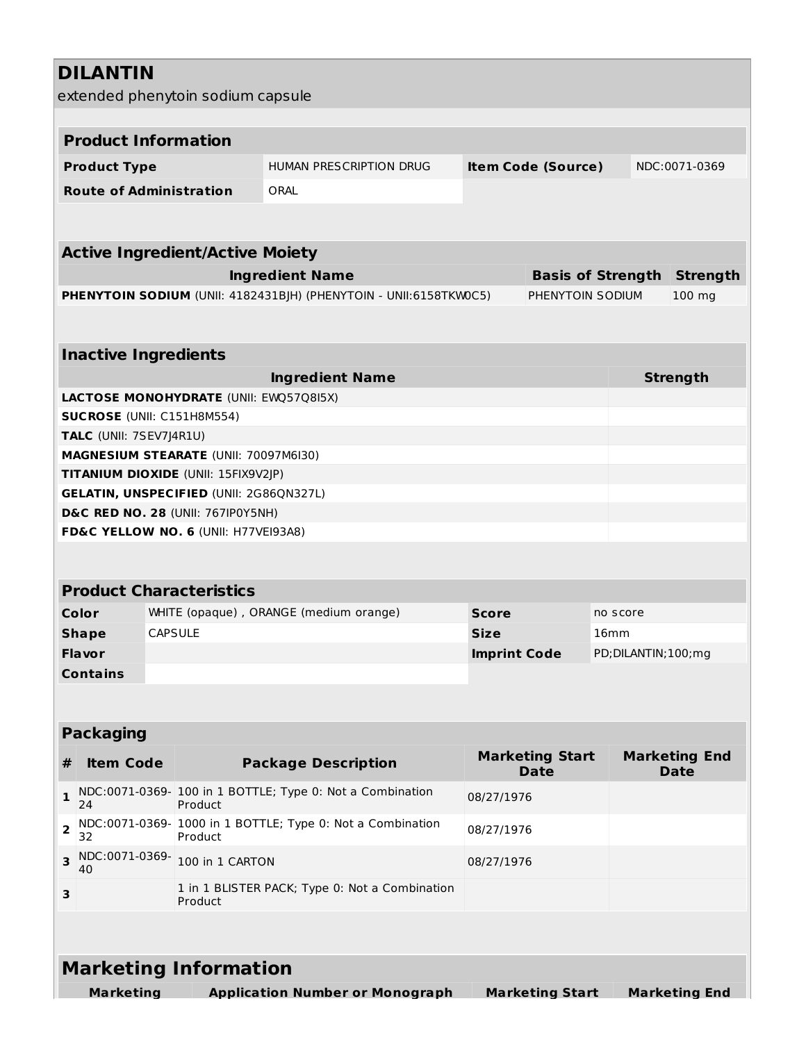|   | <b>DILANTIN</b>                                                                           |                                        |                                                                                       |                                                                   |              |                           |          |  |                       |
|---|-------------------------------------------------------------------------------------------|----------------------------------------|---------------------------------------------------------------------------------------|-------------------------------------------------------------------|--------------|---------------------------|----------|--|-----------------------|
|   |                                                                                           |                                        | extended phenytoin sodium capsule                                                     |                                                                   |              |                           |          |  |                       |
|   | <b>Product Information</b>                                                                |                                        |                                                                                       |                                                                   |              |                           |          |  |                       |
|   |                                                                                           |                                        |                                                                                       |                                                                   |              |                           |          |  | NDC:0071-0369         |
|   | <b>Product Type</b>                                                                       |                                        |                                                                                       | HUMAN PRESCRIPTION DRUG                                           |              | <b>Item Code (Source)</b> |          |  |                       |
|   |                                                                                           | <b>Route of Administration</b><br>ORAL |                                                                                       |                                                                   |              |                           |          |  |                       |
|   |                                                                                           |                                        |                                                                                       |                                                                   |              |                           |          |  |                       |
|   |                                                                                           |                                        | <b>Active Ingredient/Active Moiety</b>                                                |                                                                   |              |                           |          |  |                       |
|   |                                                                                           |                                        |                                                                                       | <b>Ingredient Name</b>                                            |              | <b>Basis of Strength</b>  |          |  | <b>Strength</b>       |
|   |                                                                                           |                                        |                                                                                       | PHENYTOIN SODIUM (UNII: 4182431BJH) (PHENYTOIN - UNII:6158TKW0C5) |              | PHENYTOIN SODIUM          |          |  | 100 mg                |
|   |                                                                                           |                                        |                                                                                       |                                                                   |              |                           |          |  |                       |
|   | <b>Inactive Ingredients</b>                                                               |                                        |                                                                                       |                                                                   |              |                           |          |  |                       |
|   |                                                                                           |                                        |                                                                                       | <b>Ingredient Name</b>                                            |              |                           |          |  | <b>Strength</b>       |
|   |                                                                                           |                                        | <b>LACTOSE MONOHYDRATE (UNII: EWQ57Q8I5X)</b>                                         |                                                                   |              |                           |          |  |                       |
|   | SUCROSE (UNII: C151H8M554)                                                                |                                        |                                                                                       |                                                                   |              |                           |          |  |                       |
|   | TALC (UNII: 7SEV7J4R1U)                                                                   |                                        |                                                                                       |                                                                   |              |                           |          |  |                       |
|   |                                                                                           |                                        | MAGNESIUM STEARATE (UNII: 70097M6I30)                                                 |                                                                   |              |                           |          |  |                       |
|   |                                                                                           |                                        | TITANIUM DIOXIDE (UNII: 15FIX9V2JP)<br><b>GELATIN, UNSPECIFIED (UNII: 2G86QN327L)</b> |                                                                   |              |                           |          |  |                       |
|   |                                                                                           |                                        | <b>D&amp;C RED NO. 28 (UNII: 767IP0Y5NH)</b>                                          |                                                                   |              |                           |          |  |                       |
|   |                                                                                           |                                        | FD&C YELLOW NO. 6 (UNII: H77VEI93A8)                                                  |                                                                   |              |                           |          |  |                       |
|   |                                                                                           |                                        |                                                                                       |                                                                   |              |                           |          |  |                       |
|   |                                                                                           |                                        | <b>Product Characteristics</b>                                                        |                                                                   |              |                           |          |  |                       |
|   | Color                                                                                     |                                        |                                                                                       | WHITE (opaque), ORANGE (medium orange)                            | <b>Score</b> |                           | no score |  |                       |
|   | <b>Shape</b>                                                                              | <b>CAPSULE</b>                         |                                                                                       |                                                                   | <b>Size</b>  |                           | 16mm     |  |                       |
|   | <b>Flavor</b>                                                                             |                                        |                                                                                       |                                                                   |              | <b>Imprint Code</b>       |          |  | PD; DILANTIN; 100; mg |
|   | <b>Contains</b>                                                                           |                                        |                                                                                       |                                                                   |              |                           |          |  |                       |
|   |                                                                                           |                                        |                                                                                       |                                                                   |              |                           |          |  |                       |
|   |                                                                                           |                                        |                                                                                       |                                                                   |              |                           |          |  |                       |
|   | <b>Packaging</b>                                                                          |                                        |                                                                                       |                                                                   |              | <b>Marketing Start</b>    |          |  | <b>Marketing End</b>  |
| # | <b>Item Code</b>                                                                          |                                        |                                                                                       | <b>Package Description</b>                                        |              | <b>Date</b>               |          |  | <b>Date</b>           |
| 1 | NDC:0071-0369- 100 in 1 BOTTLE; Type 0: Not a Combination<br>08/27/1976<br>Product<br>24  |                                        |                                                                                       |                                                                   |              |                           |          |  |                       |
| 2 | NDC:0071-0369- 1000 in 1 BOTTLE; Type 0: Not a Combination<br>08/27/1976<br>32<br>Product |                                        |                                                                                       |                                                                   |              |                           |          |  |                       |
| 3 | NDC:0071-0369-<br>40                                                                      |                                        | 100 in 1 CARTON                                                                       |                                                                   | 08/27/1976   |                           |          |  |                       |
| з |                                                                                           |                                        | Product                                                                               | 1 in 1 BLISTER PACK; Type 0: Not a Combination                    |              |                           |          |  |                       |
|   |                                                                                           |                                        |                                                                                       |                                                                   |              |                           |          |  |                       |
|   |                                                                                           |                                        | <b>Marketing Information</b>                                                          |                                                                   |              |                           |          |  |                       |
|   | <b>Marketing</b>                                                                          |                                        |                                                                                       | <b>Application Number or Monograph</b>                            |              | <b>Marketing Start</b>    |          |  | <b>Marketing End</b>  |